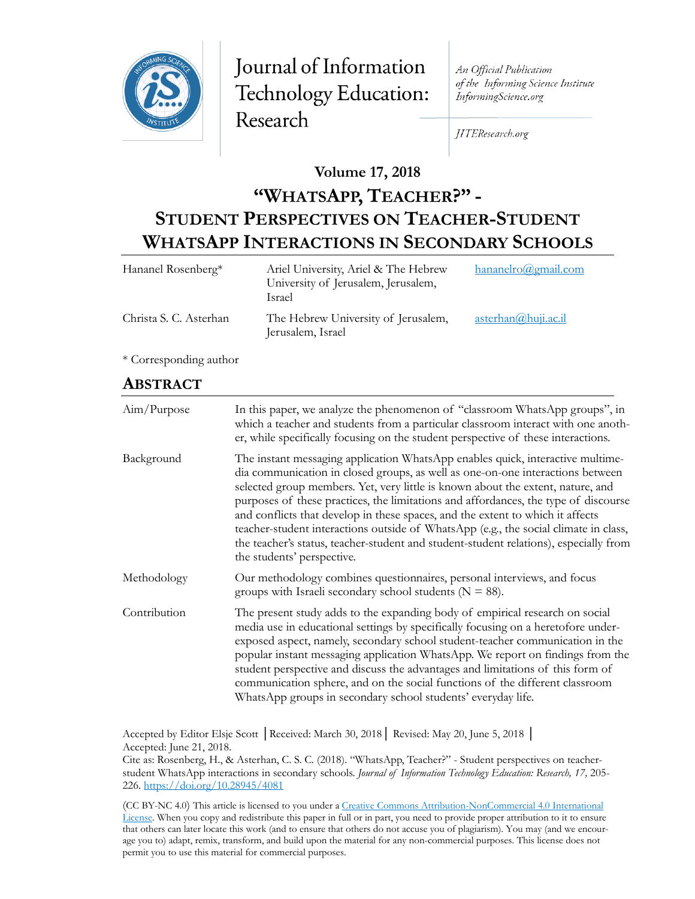

Journal of Information Technology Education: Research

An Official Publication of the Informing Science Institute InformingScience.org

JITEResearch.org

**Volume 17, 2018**

# **"WHATSAPP, TEACHER?" - STUDENT PERSPECTIVES ON TEACHER-STUDENT WHATSAPP INTERACTIONS IN SECONDARY SCHOOLS**

| Hananel Rosenberg*     | Ariel University, Ariel & The Hebrew<br>University of Jerusalem, Jerusalem,<br>Israel | $h$ ananelro@gmail.com  |
|------------------------|---------------------------------------------------------------------------------------|-------------------------|
| Christa S. C. Asterhan | The Hebrew University of Jerusalem,<br>Jerusalem, Israel                              | $\arctan(a)$ huji.ac.il |

\* Corresponding author

## **ABSTRACT**

| Aim/Purpose  | In this paper, we analyze the phenomenon of "classroom WhatsApp groups", in<br>which a teacher and students from a particular classroom interact with one anoth-<br>er, while specifically focusing on the student perspective of these interactions.                                                                                                                                                                                                                                                                                                                                                                                       |
|--------------|---------------------------------------------------------------------------------------------------------------------------------------------------------------------------------------------------------------------------------------------------------------------------------------------------------------------------------------------------------------------------------------------------------------------------------------------------------------------------------------------------------------------------------------------------------------------------------------------------------------------------------------------|
| Background   | The instant messaging application WhatsApp enables quick, interactive multime-<br>dia communication in closed groups, as well as one-on-one interactions between<br>selected group members. Yet, very little is known about the extent, nature, and<br>purposes of these practices, the limitations and affordances, the type of discourse<br>and conflicts that develop in these spaces, and the extent to which it affects<br>teacher-student interactions outside of WhatsApp (e.g., the social climate in class,<br>the teacher's status, teacher-student and student-student relations), especially from<br>the students' perspective. |
| Methodology  | Our methodology combines questionnaires, personal interviews, and focus<br>groups with Israeli secondary school students ( $N = 88$ ).                                                                                                                                                                                                                                                                                                                                                                                                                                                                                                      |
| Contribution | The present study adds to the expanding body of empirical research on social<br>media use in educational settings by specifically focusing on a heretofore under-<br>exposed aspect, namely, secondary school student-teacher communication in the<br>popular instant messaging application WhatsApp. We report on findings from the<br>student perspective and discuss the advantages and limitations of this form of<br>communication sphere, and on the social functions of the different classroom<br>WhatsApp groups in secondary school students' everyday life.                                                                      |

Accepted by Editor Elsje Scott │Received: March 30, 2018│ Revised: May 20, June 5, 2018 │ Accepted: June 21, 2018.

Cite as: Rosenberg, H., & Asterhan, C. S. C. (2018). "WhatsApp, Teacher?" - Student perspectives on teacherstudent WhatsApp interactions in secondary schools. *Journal of Information Technology Education: Research, 17,* 205- 226[. https://doi.org/10.28945/4081](https://doi.org/10.28945/4081)

(CC BY-NC 4.0) This article is licensed to you under a Creative Commons Attribution-[NonCommercial 4.0 International](https://creativecommons.org/licenses/by-nc/4.0/)  [License.](https://creativecommons.org/licenses/by-nc/4.0/) When you copy and redistribute this paper in full or in part, you need to provide proper attribution to it to ensure that others can later locate this work (and to ensure that others do not accuse you of plagiarism). You may (and we encourage you to) adapt, remix, transform, and build upon the material for any non-commercial purposes. This license does not permit you to use this material for commercial purposes.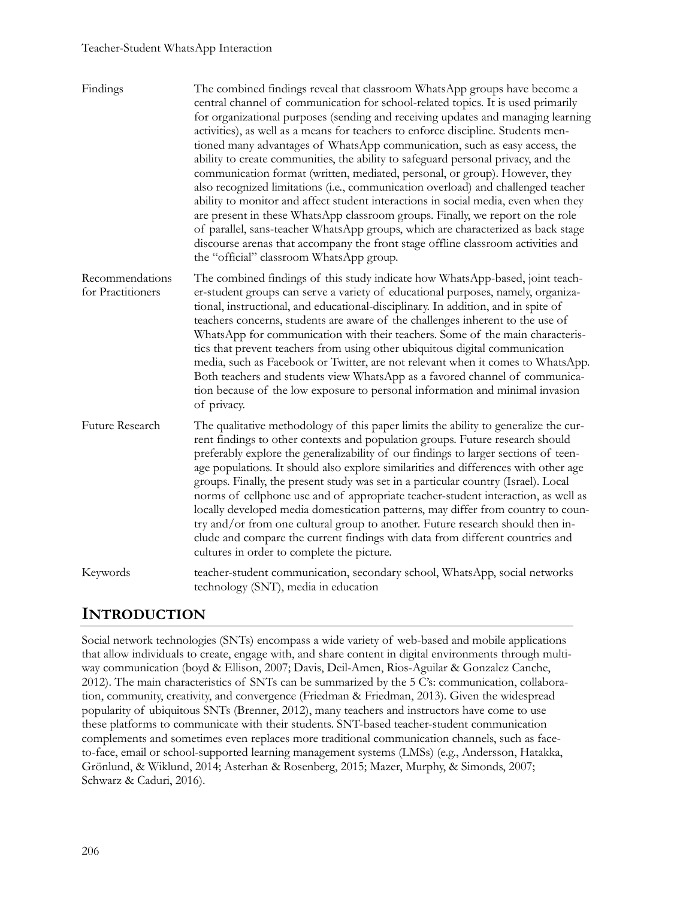#### Teacher-Student WhatsApp Interaction

| Findings                             | The combined findings reveal that classroom WhatsApp groups have become a<br>central channel of communication for school-related topics. It is used primarily<br>for organizational purposes (sending and receiving updates and managing learning<br>activities), as well as a means for teachers to enforce discipline. Students men-<br>tioned many advantages of WhatsApp communication, such as easy access, the<br>ability to create communities, the ability to safeguard personal privacy, and the<br>communication format (written, mediated, personal, or group). However, they<br>also recognized limitations (i.e., communication overload) and challenged teacher<br>ability to monitor and affect student interactions in social media, even when they<br>are present in these WhatsApp classroom groups. Finally, we report on the role<br>of parallel, sans-teacher WhatsApp groups, which are characterized as back stage<br>discourse arenas that accompany the front stage offline classroom activities and<br>the "official" classroom WhatsApp group. |
|--------------------------------------|---------------------------------------------------------------------------------------------------------------------------------------------------------------------------------------------------------------------------------------------------------------------------------------------------------------------------------------------------------------------------------------------------------------------------------------------------------------------------------------------------------------------------------------------------------------------------------------------------------------------------------------------------------------------------------------------------------------------------------------------------------------------------------------------------------------------------------------------------------------------------------------------------------------------------------------------------------------------------------------------------------------------------------------------------------------------------|
| Recommendations<br>for Practitioners | The combined findings of this study indicate how WhatsApp-based, joint teach-<br>er-student groups can serve a variety of educational purposes, namely, organiza-<br>tional, instructional, and educational-disciplinary. In addition, and in spite of<br>teachers concerns, students are aware of the challenges inherent to the use of<br>WhatsApp for communication with their teachers. Some of the main characteris-<br>tics that prevent teachers from using other ubiquitous digital communication<br>media, such as Facebook or Twitter, are not relevant when it comes to WhatsApp.<br>Both teachers and students view WhatsApp as a favored channel of communica-<br>tion because of the low exposure to personal information and minimal invasion<br>of privacy.                                                                                                                                                                                                                                                                                               |
| Future Research                      | The qualitative methodology of this paper limits the ability to generalize the cur-<br>rent findings to other contexts and population groups. Future research should<br>preferably explore the generalizability of our findings to larger sections of teen-<br>age populations. It should also explore similarities and differences with other age<br>groups. Finally, the present study was set in a particular country (Israel). Local<br>norms of cellphone use and of appropriate teacher-student interaction, as well as<br>locally developed media domestication patterns, may differ from country to coun-<br>try and/or from one cultural group to another. Future research should then in-<br>clude and compare the current findings with data from different countries and<br>cultures in order to complete the picture.                                                                                                                                                                                                                                        |
| Keywords                             | teacher-student communication, secondary school, WhatsApp, social networks<br>technology (SNT), media in education                                                                                                                                                                                                                                                                                                                                                                                                                                                                                                                                                                                                                                                                                                                                                                                                                                                                                                                                                        |

# **INTRODUCTION**

Social network technologies (SNTs) encompass a wide variety of web-based and mobile applications that allow individuals to create, engage with, and share content in digital environments through multiway communication (boyd & Ellison, 2007; Davis, Deil-Amen, Rios-Aguilar & Gonzalez Canche, 2012). The main characteristics of SNTs can be summarized by the 5 C's: communication, collaboration, community, creativity, and convergence (Friedman & Friedman, 2013). Given the widespread popularity of ubiquitous SNTs (Brenner, 2012), many teachers and instructors have come to use these platforms to communicate with their students. SNT-based teacher-student communication complements and sometimes even replaces more traditional communication channels, such as faceto-face, email or school-supported learning management systems (LMSs) (e.g., Andersson, Hatakka, Grönlund, & Wiklund, 2014; Asterhan & Rosenberg, 2015; Mazer, Murphy, & Simonds, 2007; Schwarz & Caduri, 2016).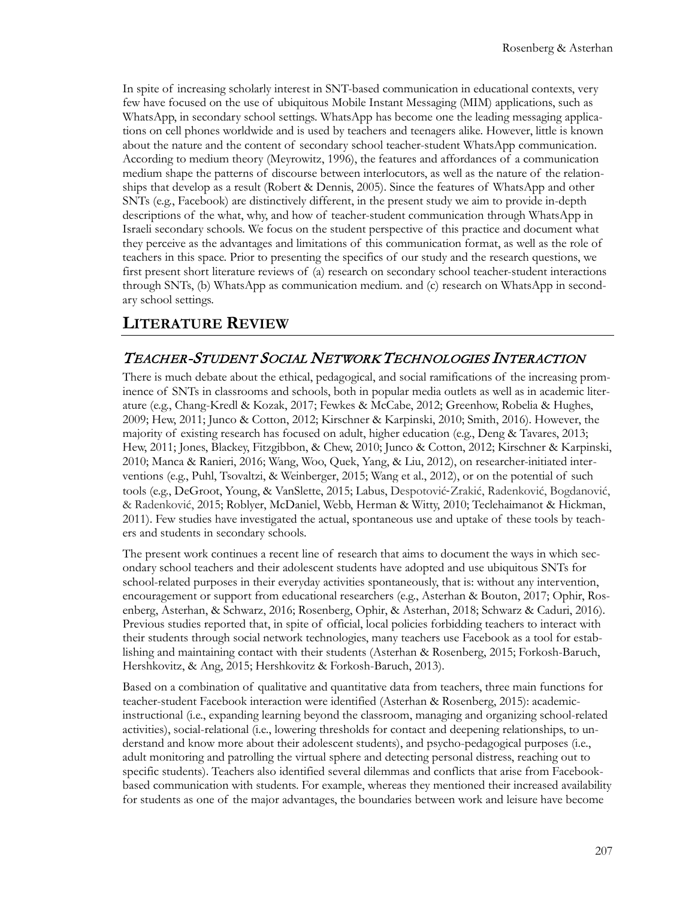In spite of increasing scholarly interest in SNT-based communication in educational contexts, very few have focused on the use of ubiquitous Mobile Instant Messaging (MIM) applications, such as WhatsApp, in secondary school settings. WhatsApp has become one the leading messaging applications on cell phones worldwide and is used by teachers and teenagers alike. However, little is known about the nature and the content of secondary school teacher-student WhatsApp communication. According to medium theory (Meyrowitz, 1996), the features and affordances of a communication medium shape the patterns of discourse between interlocutors, as well as the nature of the relationships that develop as a result (Robert & Dennis, 2005). Since the features of WhatsApp and other SNTs (e.g., Facebook) are distinctively different, in the present study we aim to provide in-depth descriptions of the what, why, and how of teacher-student communication through WhatsApp in Israeli secondary schools. We focus on the student perspective of this practice and document what they perceive as the advantages and limitations of this communication format, as well as the role of teachers in this space. Prior to presenting the specifics of our study and the research questions, we first present short literature reviews of (a) research on secondary school teacher-student interactions through SNTs, (b) WhatsApp as communication medium. and (c) research on WhatsApp in secondary school settings.

# **LITERATURE REVIEW**

#### TEACHER-STUDENT SOCIAL NETWORK TECHNOLOGIES INTERACTION

There is much debate about the ethical, pedagogical, and social ramifications of the increasing prominence of SNTs in classrooms and schools, both in popular media outlets as well as in academic literature (e.g., Chang-Kredl & Kozak, 2017; Fewkes & McCabe, 2012; Greenhow, Robelia & Hughes, 2009; Hew, 2011; Junco & Cotton, 2012; Kirschner & Karpinski, 2010; Smith, 2016). However, the majority of existing research has focused on adult, higher education (e.g., Deng & Tavares, 2013; Hew, 2011; Jones, Blackey, Fitzgibbon, & Chew, 2010; Junco & Cotton, 2012; Kirschner & Karpinski, 2010; Manca & Ranieri, 2016; Wang, Woo, Quek, Yang, & Liu, 2012), on researcher-initiated interventions (e.g., Puhl, Tsovaltzi, & Weinberger, 2015; Wang et al., 2012), or on the potential of such tools (e.g., DeGroot, Young, & VanSlette, 2015; Labus, Despotović-Zrakić, Radenković, Bogdanović, & Radenković, 2015; Roblyer, McDaniel, Webb, Herman & Witty, 2010; Teclehaimanot & Hickman, 2011). Few studies have investigated the actual, spontaneous use and uptake of these tools by teachers and students in secondary schools.

The present work continues a recent line of research that aims to document the ways in which secondary school teachers and their adolescent students have adopted and use ubiquitous SNTs for school-related purposes in their everyday activities spontaneously, that is: without any intervention, encouragement or support from educational researchers (e.g., Asterhan & Bouton, 2017; Ophir, Rosenberg, Asterhan, & Schwarz, 2016; Rosenberg, Ophir, & Asterhan, 2018; Schwarz & Caduri, 2016). Previous studies reported that, in spite of official, local policies forbidding teachers to interact with their students through social network technologies, many teachers use Facebook as a tool for establishing and maintaining contact with their students (Asterhan & Rosenberg, 2015; Forkosh-Baruch, Hershkovitz, & Ang, 2015; Hershkovitz & Forkosh-Baruch, 2013).

Based on a combination of qualitative and quantitative data from teachers, three main functions for teacher-student Facebook interaction were identified (Asterhan & Rosenberg, 2015): academicinstructional (i.e., expanding learning beyond the classroom, managing and organizing school-related activities), social-relational (i.e., lowering thresholds for contact and deepening relationships, to understand and know more about their adolescent students), and psycho-pedagogical purposes (i.e., adult monitoring and patrolling the virtual sphere and detecting personal distress, reaching out to specific students). Teachers also identified several dilemmas and conflicts that arise from Facebookbased communication with students. For example, whereas they mentioned their increased availability for students as one of the major advantages, the boundaries between work and leisure have become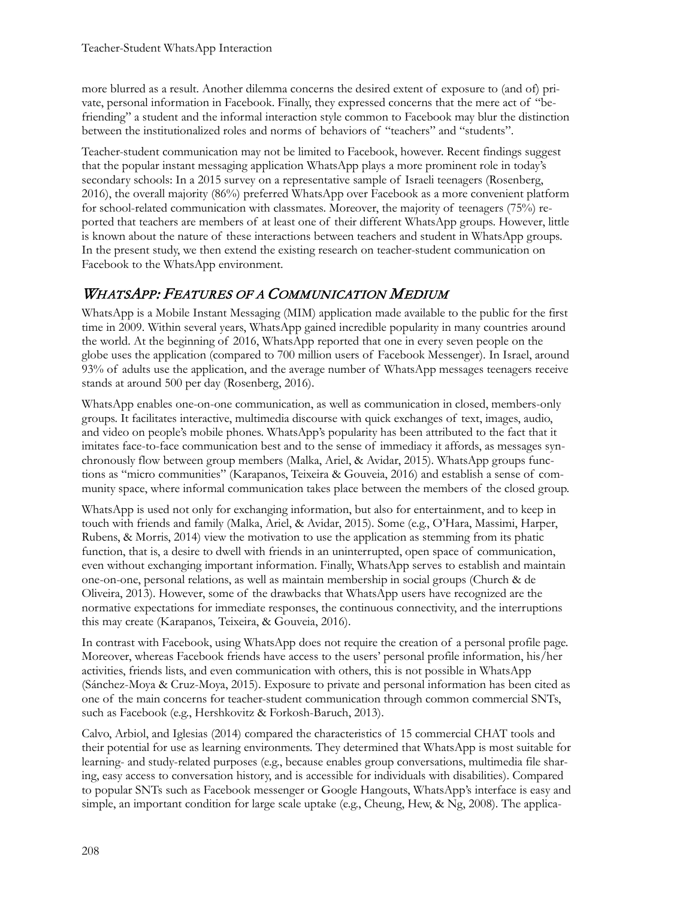more blurred as a result. Another dilemma concerns the desired extent of exposure to (and of) private, personal information in Facebook. Finally, they expressed concerns that the mere act of "befriending" a student and the informal interaction style common to Facebook may blur the distinction between the institutionalized roles and norms of behaviors of "teachers" and "students".

Teacher-student communication may not be limited to Facebook, however. Recent findings suggest that the popular instant messaging application WhatsApp plays a more prominent role in today's secondary schools: In a 2015 survey on a representative sample of Israeli teenagers (Rosenberg, 2016), the overall majority (86%) preferred WhatsApp over Facebook as a more convenient platform for school-related communication with classmates. Moreover, the majority of teenagers (75%) reported that teachers are members of at least one of their different WhatsApp groups. However, little is known about the nature of these interactions between teachers and student in WhatsApp groups. In the present study, we then extend the existing research on teacher-student communication on Facebook to the WhatsApp environment.

## WHATSAPP: FEATURES OF A COMMUNICATION MEDIUM

WhatsApp is a Mobile Instant Messaging (MIM) application made available to the public for the first time in 2009. Within several years, WhatsApp gained incredible popularity in many countries around the world. At the beginning of 2016, WhatsApp reported that one in every seven people on the globe uses the application (compared to 700 million users of Facebook Messenger). In Israel, around 93% of adults use the application, and the average number of WhatsApp messages teenagers receive stands at around 500 per day (Rosenberg, 2016).

WhatsApp enables one-on-one communication, as well as communication in closed, members-only groups. It facilitates interactive, multimedia discourse with quick exchanges of text, images, audio, and video on people's mobile phones. WhatsApp's popularity has been attributed to the fact that it imitates face-to-face communication best and to the sense of immediacy it affords, as messages synchronously flow between group members (Malka, Ariel, & Avidar, 2015). WhatsApp groups functions as "micro communities" (Karapanos, Teixeira & Gouveia, 2016) and establish a sense of community space, where informal communication takes place between the members of the closed group.

WhatsApp is used not only for exchanging information, but also for entertainment, and to keep in touch with friends and family (Malka, Ariel, & Avidar, 2015). Some (e.g., O'Hara, Massimi, Harper, Rubens, & Morris, 2014) view the motivation to use the application as stemming from its phatic function, that is, a desire to dwell with friends in an uninterrupted, open space of communication, even without exchanging important information. Finally, WhatsApp serves to establish and maintain one-on-one, personal relations, as well as maintain membership in social groups (Church & de Oliveira, 2013). However, some of the drawbacks that WhatsApp users have recognized are the normative expectations for immediate responses, the continuous connectivity, and the interruptions this may create (Karapanos, Teixeira, & Gouveia, 2016).

In contrast with Facebook, using WhatsApp does not require the creation of a personal profile page. Moreover, whereas Facebook friends have access to the users' personal profile information, his/her activities, friends lists, and even communication with others, this is not possible in WhatsApp (Sánchez-Moya & Cruz-Moya, 2015). Exposure to private and personal information has been cited as one of the main concerns for teacher-student communication through common commercial SNTs, such as Facebook (e.g., Hershkovitz & Forkosh-Baruch, 2013).

Calvo, Arbiol, and Iglesias (2014) compared the characteristics of 15 commercial CHAT tools and their potential for use as learning environments. They determined that WhatsApp is most suitable for learning- and study-related purposes (e.g., because enables group conversations, multimedia file sharing, easy access to conversation history, and is accessible for individuals with disabilities). Compared to popular SNTs such as Facebook messenger or Google Hangouts, WhatsApp's interface is easy and simple, an important condition for large scale uptake (e.g., Cheung, Hew, & Ng, 2008). The applica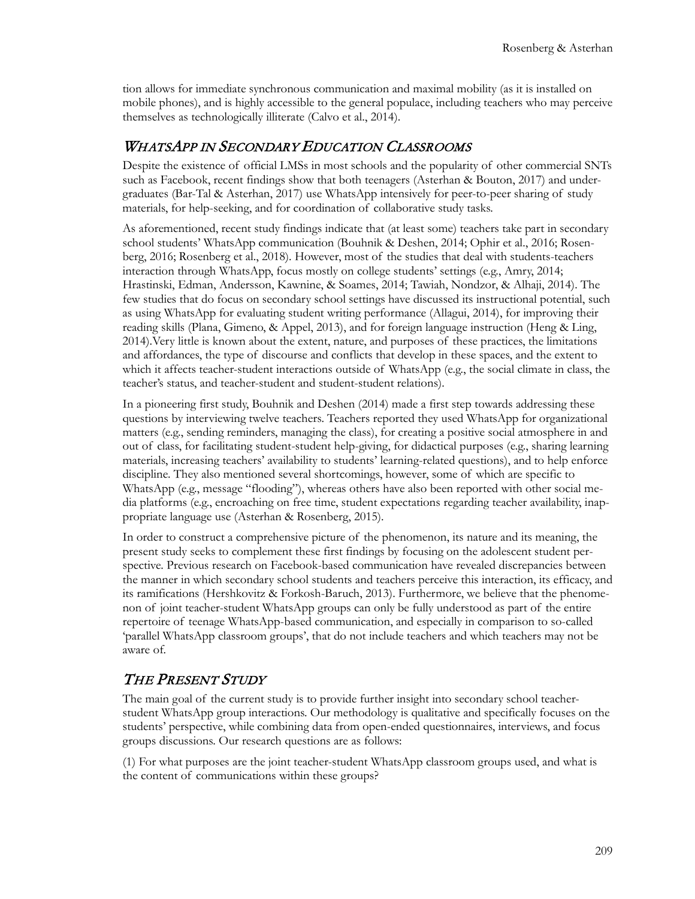tion allows for immediate synchronous communication and maximal mobility (as it is installed on mobile phones), and is highly accessible to the general populace, including teachers who may perceive themselves as technologically illiterate (Calvo et al., 2014).

#### WHATSAPP IN SECONDARY EDUCATION CLASSROOMS

Despite the existence of official LMSs in most schools and the popularity of other commercial SNTs such as Facebook, recent findings show that both teenagers (Asterhan & Bouton, 2017) and undergraduates (Bar-Tal & Asterhan, 2017) use WhatsApp intensively for peer-to-peer sharing of study materials, for help-seeking, and for coordination of collaborative study tasks.

As aforementioned, recent study findings indicate that (at least some) teachers take part in secondary school students' WhatsApp communication (Bouhnik & Deshen, 2014; Ophir et al., 2016; Rosenberg, 2016; Rosenberg et al., 2018). However, most of the studies that deal with students-teachers interaction through WhatsApp, focus mostly on college students' settings (e.g., Amry, 2014; Hrastinski, Edman, Andersson, Kawnine, & Soames, 2014; Tawiah, Nondzor, & Alhaji, 2014). The few studies that do focus on secondary school settings have discussed its instructional potential, such as using WhatsApp for evaluating student writing performance (Allagui, 2014), for improving their reading skills (Plana, Gimeno, & Appel, 2013), and for foreign language instruction (Heng & Ling, 2014).Very little is known about the extent, nature, and purposes of these practices, the limitations and affordances, the type of discourse and conflicts that develop in these spaces, and the extent to which it affects teacher-student interactions outside of WhatsApp (e.g., the social climate in class, the teacher's status, and teacher-student and student-student relations).

In a pioneering first study, Bouhnik and Deshen (2014) made a first step towards addressing these questions by interviewing twelve teachers. Teachers reported they used WhatsApp for organizational matters (e.g., sending reminders, managing the class), for creating a positive social atmosphere in and out of class, for facilitating student-student help-giving, for didactical purposes (e.g., sharing learning materials, increasing teachers' availability to students' learning-related questions), and to help enforce discipline. They also mentioned several shortcomings, however, some of which are specific to WhatsApp (e.g., message "flooding"), whereas others have also been reported with other social media platforms (e.g., encroaching on free time, student expectations regarding teacher availability, inappropriate language use (Asterhan & Rosenberg, 2015).

In order to construct a comprehensive picture of the phenomenon, its nature and its meaning, the present study seeks to complement these first findings by focusing on the adolescent student perspective. Previous research on Facebook-based communication have revealed discrepancies between the manner in which secondary school students and teachers perceive this interaction, its efficacy, and its ramifications (Hershkovitz & Forkosh-Baruch, 2013). Furthermore, we believe that the phenomenon of joint teacher-student WhatsApp groups can only be fully understood as part of the entire repertoire of teenage WhatsApp-based communication, and especially in comparison to so-called 'parallel WhatsApp classroom groups', that do not include teachers and which teachers may not be aware of.

#### THE PRESENT STUDY

The main goal of the current study is to provide further insight into secondary school teacherstudent WhatsApp group interactions. Our methodology is qualitative and specifically focuses on the students' perspective, while combining data from open-ended questionnaires, interviews, and focus groups discussions. Our research questions are as follows:

(1) For what purposes are the joint teacher-student WhatsApp classroom groups used, and what is the content of communications within these groups?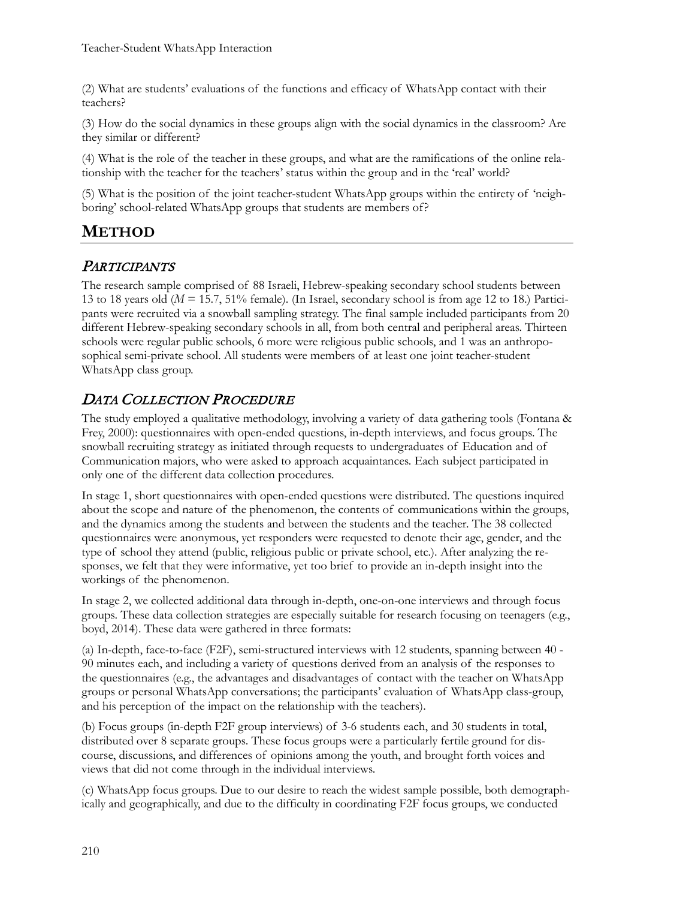(2) What are students' evaluations of the functions and efficacy of WhatsApp contact with their teachers?

(3) How do the social dynamics in these groups align with the social dynamics in the classroom? Are they similar or different?

(4) What is the role of the teacher in these groups, and what are the ramifications of the online relationship with the teacher for the teachers' status within the group and in the 'real' world?

(5) What is the position of the joint teacher-student WhatsApp groups within the entirety of 'neighboring' school-related WhatsApp groups that students are members of?

# **METHOD**

#### **PARTICIPANTS**

The research sample comprised of 88 Israeli, Hebrew-speaking secondary school students between 13 to 18 years old ( $M = 15.7$ , 51% female). (In Israel, secondary school is from age 12 to 18.) Participants were recruited via a snowball sampling strategy. The final sample included participants from 20 different Hebrew-speaking secondary schools in all, from both central and peripheral areas. Thirteen schools were regular public schools, 6 more were religious public schools, and 1 was an anthroposophical semi-private school. All students were members of at least one joint teacher-student WhatsApp class group.

## DATA COLLECTION PROCEDURE

The study employed a qualitative methodology, involving a variety of data gathering tools (Fontana & Frey, 2000): questionnaires with open-ended questions, in-depth interviews, and focus groups. The snowball recruiting strategy as initiated through requests to undergraduates of Education and of Communication majors, who were asked to approach acquaintances. Each subject participated in only one of the different data collection procedures.

In stage 1, short questionnaires with open-ended questions were distributed. The questions inquired about the scope and nature of the phenomenon, the contents of communications within the groups, and the dynamics among the students and between the students and the teacher. The 38 collected questionnaires were anonymous, yet responders were requested to denote their age, gender, and the type of school they attend (public, religious public or private school, etc.). After analyzing the responses, we felt that they were informative, yet too brief to provide an in-depth insight into the workings of the phenomenon.

In stage 2, we collected additional data through in-depth, one-on-one interviews and through focus groups. These data collection strategies are especially suitable for research focusing on teenagers (e.g., boyd, 2014). These data were gathered in three formats:

(a) In-depth, face-to-face (F2F), semi-structured interviews with 12 students, spanning between 40 - 90 minutes each, and including a variety of questions derived from an analysis of the responses to the questionnaires (e.g., the advantages and disadvantages of contact with the teacher on WhatsApp groups or personal WhatsApp conversations; the participants' evaluation of WhatsApp class-group, and his perception of the impact on the relationship with the teachers).

(b) Focus groups (in-depth F2F group interviews) of 3-6 students each, and 30 students in total, distributed over 8 separate groups. These focus groups were a particularly fertile ground for discourse, discussions, and differences of opinions among the youth, and brought forth voices and views that did not come through in the individual interviews.

(c) WhatsApp focus groups. Due to our desire to reach the widest sample possible, both demographically and geographically, and due to the difficulty in coordinating F2F focus groups, we conducted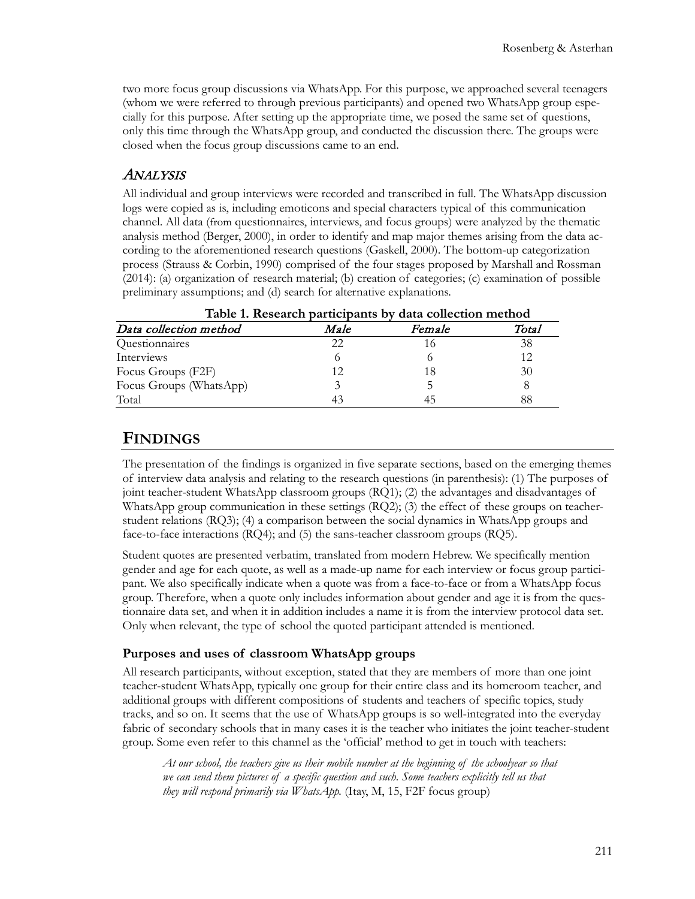two more focus group discussions via WhatsApp. For this purpose, we approached several teenagers (whom we were referred to through previous participants) and opened two WhatsApp group especially for this purpose. After setting up the appropriate time, we posed the same set of questions, only this time through the WhatsApp group, and conducted the discussion there. The groups were closed when the focus group discussions came to an end.

#### ANALYSIS

All individual and group interviews were recorded and transcribed in full. The WhatsApp discussion logs were copied as is, including emoticons and special characters typical of this communication channel. All data (from questionnaires, interviews, and focus groups) were analyzed by the thematic analysis method (Berger, 2000), in order to identify and map major themes arising from the data according to the aforementioned research questions (Gaskell, 2000). The bottom-up categorization process (Strauss & Corbin, 1990) comprised of the four stages proposed by Marshall and Rossman (2014): (a) organization of research material; (b) creation of categories; (c) examination of possible preliminary assumptions; and (d) search for alternative explanations.

| Table 1. Research participants by data collection method |      |        |       |  |
|----------------------------------------------------------|------|--------|-------|--|
| Data collection method                                   | Male | Female | Total |  |
| Questionnaires                                           | 22   |        | 38    |  |
| Interviews                                               |      |        | 12    |  |
| Focus Groups (F2F)                                       | 12   | 18     | 30    |  |
| Focus Groups (WhatsApp)                                  |      |        |       |  |
| Total                                                    |      |        | 88    |  |

## **FINDINGS**

The presentation of the findings is organized in five separate sections, based on the emerging themes of interview data analysis and relating to the research questions (in parenthesis): (1) The purposes of joint teacher-student WhatsApp classroom groups (RQ1); (2) the advantages and disadvantages of WhatsApp group communication in these settings (RQ2); (3) the effect of these groups on teacherstudent relations (RQ3); (4) a comparison between the social dynamics in WhatsApp groups and face-to-face interactions (RQ4); and (5) the sans-teacher classroom groups (RQ5).

Student quotes are presented verbatim, translated from modern Hebrew. We specifically mention gender and age for each quote, as well as a made-up name for each interview or focus group participant. We also specifically indicate when a quote was from a face-to-face or from a WhatsApp focus group. Therefore, when a quote only includes information about gender and age it is from the questionnaire data set, and when it in addition includes a name it is from the interview protocol data set. Only when relevant, the type of school the quoted participant attended is mentioned.

#### **Purposes and uses of classroom WhatsApp groups**

All research participants, without exception, stated that they are members of more than one joint teacher-student WhatsApp, typically one group for their entire class and its homeroom teacher, and additional groups with different compositions of students and teachers of specific topics, study tracks, and so on. It seems that the use of WhatsApp groups is so well-integrated into the everyday fabric of secondary schools that in many cases it is the teacher who initiates the joint teacher-student group. Some even refer to this channel as the 'official' method to get in touch with teachers:

*At our school, the teachers give us their mobile number at the beginning of the schoolyear so that we can send them pictures of a specific question and such. Some teachers explicitly tell us that they will respond primarily via WhatsApp.* (Itay, M, 15, F2F focus group)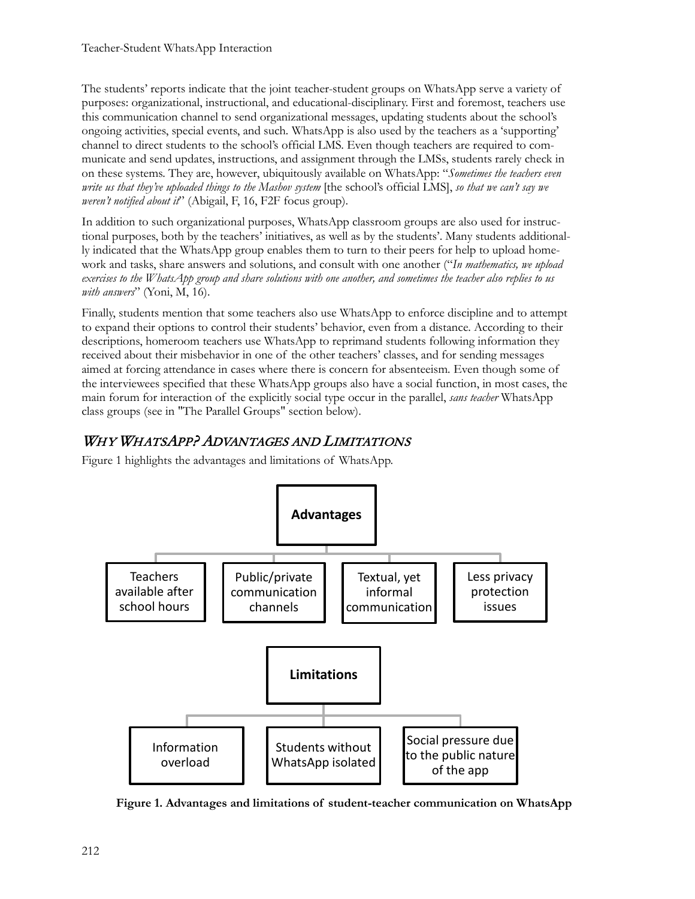The students' reports indicate that the joint teacher-student groups on WhatsApp serve a variety of purposes: organizational, instructional, and educational-disciplinary. First and foremost, teachers use this communication channel to send organizational messages, updating students about the school's ongoing activities, special events, and such*.* WhatsApp is also used by the teachers as a 'supporting' channel to direct students to the school's official LMS. Even though teachers are required to communicate and send updates, instructions, and assignment through the LMSs, students rarely check in on these systems. They are, however, ubiquitously available on WhatsApp: "*Sometimes the teachers even write us that they've uploaded things to the Mashov system* [the school's official LMS], *so that we can't say we weren't notified about it*" (Abigail, F, 16, F2F focus group).

In addition to such organizational purposes, WhatsApp classroom groups are also used for instructional purposes, both by the teachers' initiatives, as well as by the students'. Many students additionally indicated that the WhatsApp group enables them to turn to their peers for help to upload homework and tasks, share answers and solutions, and consult with one another ("*In mathematics, we upload exercises to the WhatsApp group and share solutions with one another, and sometimes the teacher also replies to us with answers*" (Yoni, M, 16).

Finally, students mention that some teachers also use WhatsApp to enforce discipline and to attempt to expand their options to control their students' behavior, even from a distance. According to their descriptions, homeroom teachers use WhatsApp to reprimand students following information they received about their misbehavior in one of the other teachers' classes, and for sending messages aimed at forcing attendance in cases where there is concern for absenteeism*.* Even though some of the interviewees specified that these WhatsApp groups also have a social function, in most cases, the main forum for interaction of the explicitly social type occur in the parallel, *sans teacher* WhatsApp class groups (see in "The Parallel Groups" section below).

## WHY WHATSAPP? ADVANTAGES AND LIMITATIONS

Figure 1 highlights the advantages and limitations of WhatsApp.



**Figure 1. Advantages and limitations of student-teacher communication on WhatsApp**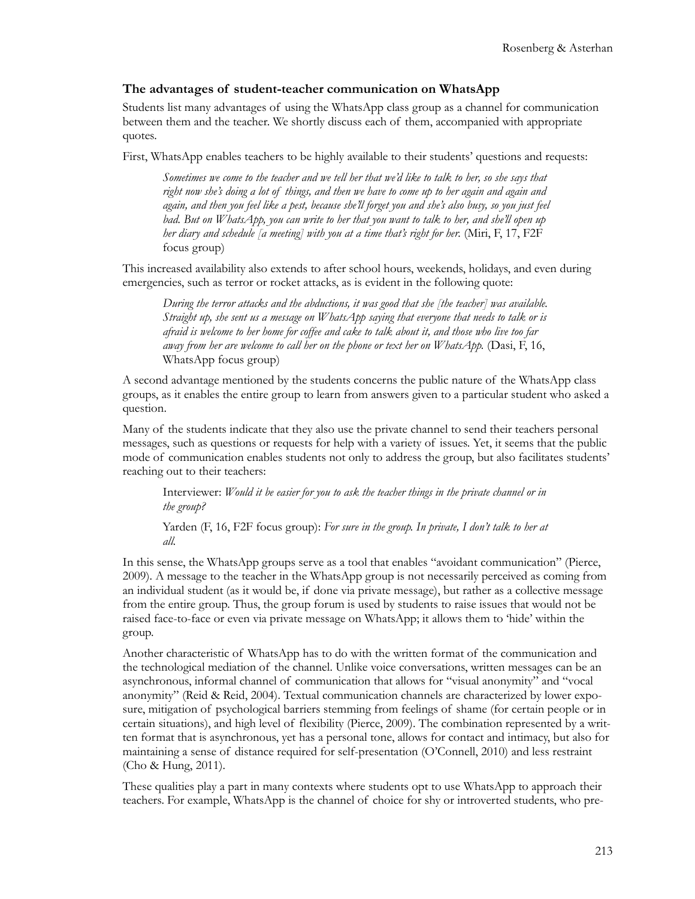#### **The advantages of student-teacher communication on WhatsApp**

Students list many advantages of using the WhatsApp class group as a channel for communication between them and the teacher. We shortly discuss each of them, accompanied with appropriate quotes.

First, WhatsApp enables teachers to be highly available to their students' questions and requests:

*Sometimes we come to the teacher and we tell her that we'd like to talk to her, so she says that right now she's doing a lot of things, and then we have to come up to her again and again and again, and then you feel like a pest, because she'll forget you and she's also busy, so you just feel bad. But on WhatsApp, you can write to her that you want to talk to her, and she'll open up her diary and schedule [a meeting] with you at a time that's right for her.* (Miri, F, 17, F2F focus group)

This increased availability also extends to after school hours, weekends, holidays, and even during emergencies, such as terror or rocket attacks, as is evident in the following quote:

*During the terror attacks and the abductions, it was good that she [the teacher] was available. Straight up, she sent us a message on WhatsApp saying that everyone that needs to talk or is afraid is welcome to her home for coffee and cake to talk about it, and those who live too far away from her are welcome to call her on the phone or text her on WhatsApp.* (Dasi, F, 16, WhatsApp focus group)

A second advantage mentioned by the students concerns the public nature of the WhatsApp class groups, as it enables the entire group to learn from answers given to a particular student who asked a question.

Many of the students indicate that they also use the private channel to send their teachers personal messages, such as questions or requests for help with a variety of issues. Yet, it seems that the public mode of communication enables students not only to address the group, but also facilitates students' reaching out to their teachers:

Interviewer: *Would it be easier for you to ask the teacher things in the private channel or in the group?*

Yarden (F, 16, F2F focus group): *For sure in the group. In private, I don't talk to her at all.*

In this sense, the WhatsApp groups serve as a tool that enables "avoidant communication" (Pierce, 2009). A message to the teacher in the WhatsApp group is not necessarily perceived as coming from an individual student (as it would be, if done via private message), but rather as a collective message from the entire group. Thus, the group forum is used by students to raise issues that would not be raised face-to-face or even via private message on WhatsApp; it allows them to 'hide' within the group.

Another characteristic of WhatsApp has to do with the written format of the communication and the technological mediation of the channel. Unlike voice conversations, written messages can be an asynchronous, informal channel of communication that allows for "visual anonymity" and "vocal anonymity" (Reid & Reid, 2004). Textual communication channels are characterized by lower exposure, mitigation of psychological barriers stemming from feelings of shame (for certain people or in certain situations), and high level of flexibility (Pierce, 2009). The combination represented by a written format that is asynchronous, yet has a personal tone, allows for contact and intimacy, but also for maintaining a sense of distance required for self-presentation (O'Connell, 2010) and less restraint (Cho & Hung, 2011).

These qualities play a part in many contexts where students opt to use WhatsApp to approach their teachers. For example, WhatsApp is the channel of choice for shy or introverted students, who pre-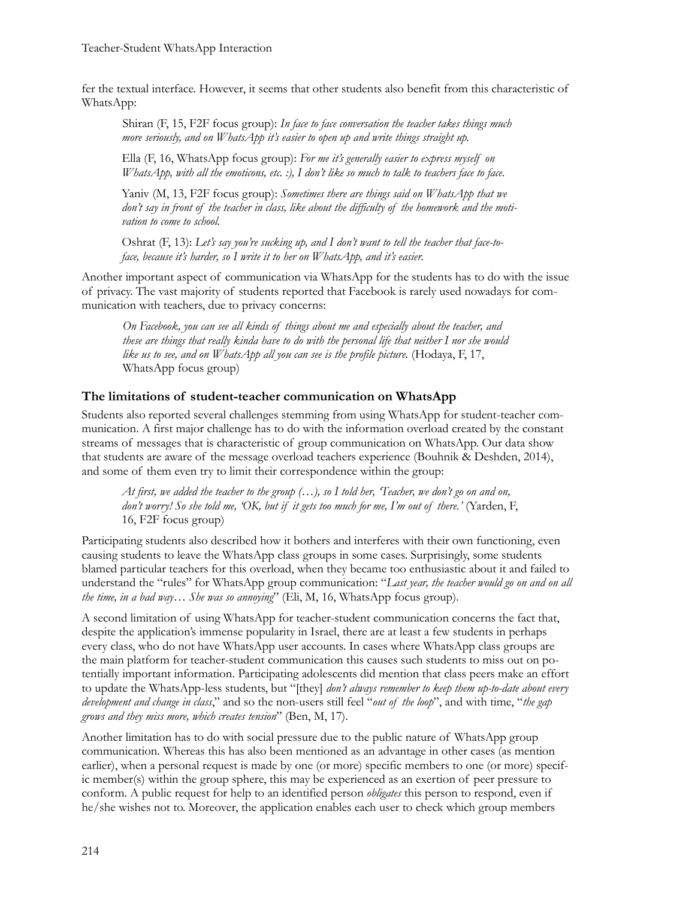fer the textual interface. However, it seems that other students also benefit from this characteristic of WhatsApp:

Shiran (F, 15, F2F focus group): *In face to face conversation the teacher takes things much more seriously, and on WhatsApp it's easier to open up and write things straight up.*

Ella (F, 16, WhatsApp focus group): *For me it's generally easier to express myself on WhatsApp, with all the emoticons, etc. :), I don't like so much to talk to teachers face to face.*

Yaniv (M, 13, F2F focus group): *Sometimes there are things said on WhatsApp that we don't say in front of the teacher in class, like about the difficulty of the homework and the motivation to come to school.*

Oshrat (F, 13): Let's say you're sucking up, and I don't want to tell the teacher that face-to*face, because it's harder, so I write it to her on WhatsApp, and it's easier.*

Another important aspect of communication via WhatsApp for the students has to do with the issue of privacy. The vast majority of students reported that Facebook is rarely used nowadays for communication with teachers, due to privacy concerns:

*On Facebook, you can see all kinds of things about me and especially about the teacher, and these are things that really kinda have to do with the personal life that neither I nor she would like us to see, and on WhatsApp all you can see is the profile picture.* (Hodaya, F, 17, WhatsApp focus group)

#### **The limitations of student-teacher communication on WhatsApp**

Students also reported several challenges stemming from using WhatsApp for student-teacher communication. A first major challenge has to do with the information overload created by the constant streams of messages that is characteristic of group communication on WhatsApp. Our data show that students are aware of the message overload teachers experience (Bouhnik & Deshden, 2014), and some of them even try to limit their correspondence within the group:

*At first, we added the teacher to the group (…), so I told her, 'Teacher, we don't go on and on, don't worry! So she told me, 'OK, but if it gets too much for me, I'm out of there.'* (Yarden, F, 16, F2F focus group)

Participating students also described how it bothers and interferes with their own functioning, even causing students to leave the WhatsApp class groups in some cases. Surprisingly, some students blamed particular teachers for this overload, when they became too enthusiastic about it and failed to understand the "rules" for WhatsApp group communication: "*Last year, the teacher would go on and on all the time, in a bad way… She was so annoying*" (Eli, M, 16, WhatsApp focus group).

A second limitation of using WhatsApp for teacher-student communication concerns the fact that, despite the application's immense popularity in Israel, there are at least a few students in perhaps every class, who do not have WhatsApp user accounts. In cases where WhatsApp class groups are the main platform for teacher-student communication this causes such students to miss out on potentially important information. Participating adolescents did mention that class peers make an effort to update the WhatsApp-less students, but "[they] *don't always remember to keep them up-to-date about every development and change in class*," and so the non-users still feel "*out of the loop*", and with time, "*the gap grows and they miss more, which creates tension*" (Ben, M, 17).

Another limitation has to do with social pressure due to the public nature of WhatsApp group communication. Whereas this has also been mentioned as an advantage in other cases (as mention earlier), when a personal request is made by one (or more) specific members to one (or more) specific member(s) within the group sphere, this may be experienced as an exertion of peer pressure to conform. A public request for help to an identified person *obligates* this person to respond, even if he/she wishes not to. Moreover, the application enables each user to check which group members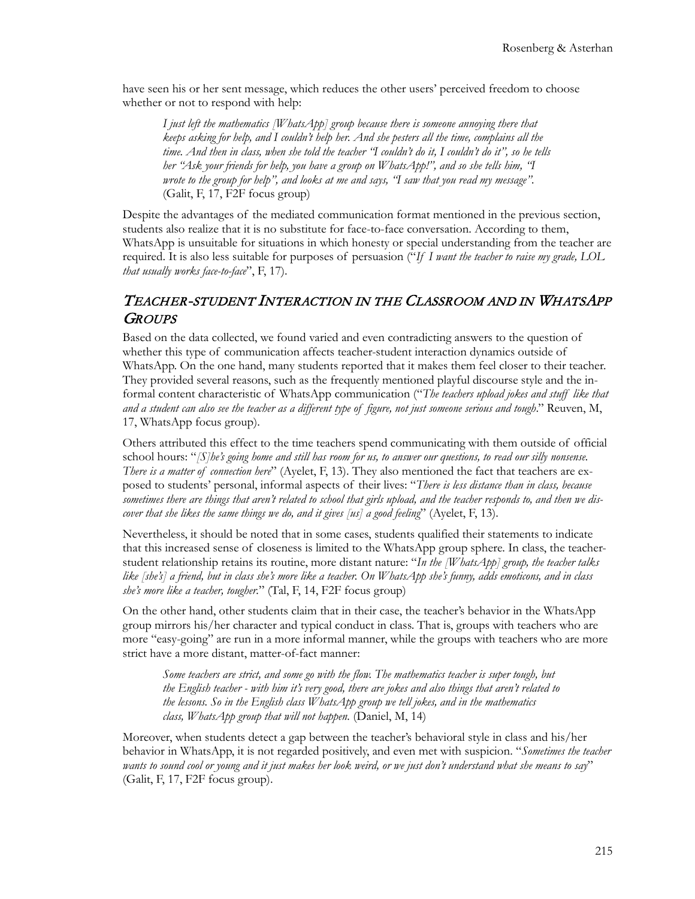have seen his or her sent message, which reduces the other users' perceived freedom to choose whether or not to respond with help:

*I just left the mathematics [WhatsApp] group because there is someone annoying there that keeps asking for help, and I couldn't help her. And she pesters all the time, complains all the time. And then in class, when she told the teacher "I couldn't do it, I couldn't do it", so he tells her "Ask your friends for help, you have a group on WhatsApp!", and so she tells him, "I wrote to the group for help", and looks at me and says, "I saw that you read my message".*  (Galit, F, 17, F2F focus group)

Despite the advantages of the mediated communication format mentioned in the previous section, students also realize that it is no substitute for face-to-face conversation. According to them, WhatsApp is unsuitable for situations in which honesty or special understanding from the teacher are required. It is also less suitable for purposes of persuasion ("*If I want the teacher to raise my grade, LOL that usually works face-to-face*", F, 17).

#### TEACHER-STUDENT INTERACTION IN THE CLASSROOM AND IN WHATSAPP **GROUPS**

Based on the data collected, we found varied and even contradicting answers to the question of whether this type of communication affects teacher-student interaction dynamics outside of WhatsApp. On the one hand, many students reported that it makes them feel closer to their teacher. They provided several reasons, such as the frequently mentioned playful discourse style and the informal content characteristic of WhatsApp communication ("*The teachers upload jokes and stuff like that and a student can also see the teacher as a different type of figure, not just someone serious and tough*." Reuven, M, 17, WhatsApp focus group).

Others attributed this effect to the time teachers spend communicating with them outside of official school hours: "*[S]he's going home and still has room for us, to answer our questions, to read our silly nonsense. There is a matter of connection here*" (Ayelet, F, 13). They also mentioned the fact that teachers are exposed to students' personal, informal aspects of their lives: "*There is less distance than in class, because sometimes there are things that aren't related to school that girls upload, and the teacher responds to, and then we discover that she likes the same things we do, and it gives [us] a good feeling*" (Ayelet, F, 13).

Nevertheless, it should be noted that in some cases, students qualified their statements to indicate that this increased sense of closeness is limited to the WhatsApp group sphere. In class, the teacherstudent relationship retains its routine, more distant nature: "*In the [WhatsApp] group, the teacher talks like [she's] a friend, but in class she's more like a teacher. On WhatsApp she's funny, adds emoticons, and in class she's more like a teacher, tougher.*" (Tal, F, 14, F2F focus group)

On the other hand, other students claim that in their case, the teacher's behavior in the WhatsApp group mirrors his/her character and typical conduct in class. That is, groups with teachers who are more "easy-going" are run in a more informal manner, while the groups with teachers who are more strict have a more distant, matter-of-fact manner:

Some teachers are strict, and some go with the flow. The mathematics teacher is super tough, but *the English teacher - with him it's very good, there are jokes and also things that aren't related to the lessons. So in the English class WhatsApp group we tell jokes, and in the mathematics class, WhatsApp group that will not happen.* (Daniel, M, 14)

Moreover, when students detect a gap between the teacher's behavioral style in class and his/her behavior in WhatsApp, it is not regarded positively, and even met with suspicion. "*Sometimes the teacher wants to sound cool or young and it just makes her look weird, or we just don't understand what she means to say*" (Galit, F, 17, F2F focus group).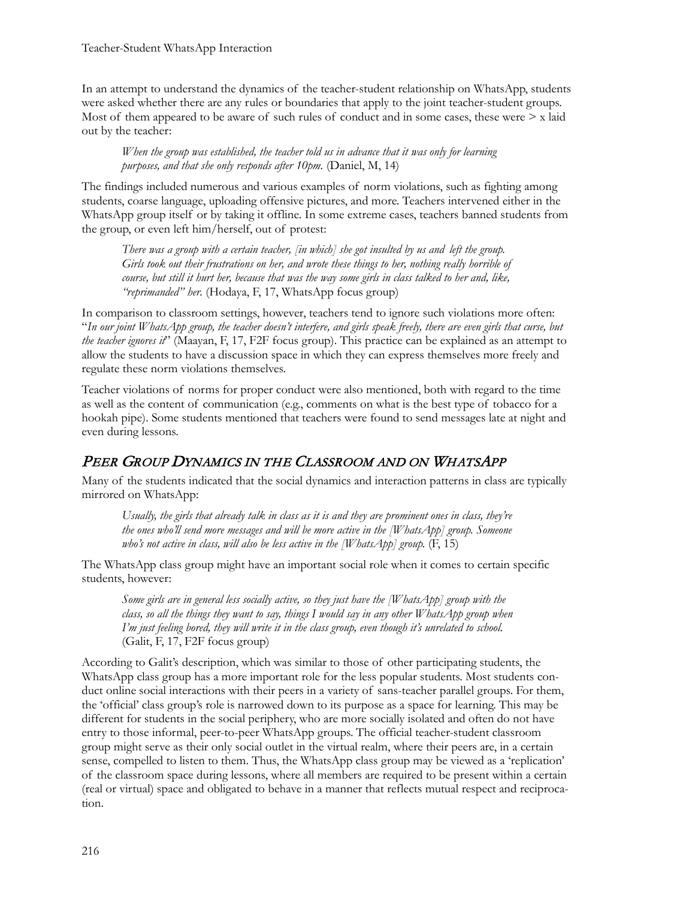In an attempt to understand the dynamics of the teacher-student relationship on WhatsApp, students were asked whether there are any rules or boundaries that apply to the joint teacher-student groups. Most of them appeared to be aware of such rules of conduct and in some cases, these were  $\geq x$  laid out by the teacher:

*When the group was established, the teacher told us in advance that it was only for learning purposes, and that she only responds after 10pm.* (Daniel, M, 14)

The findings included numerous and various examples of norm violations, such as fighting among students, coarse language, uploading offensive pictures, and more. Teachers intervened either in the WhatsApp group itself or by taking it offline. In some extreme cases, teachers banned students from the group, or even left him/herself, out of protest:

*There was a group with a certain teacher, [in which] she got insulted by us and left the group. Girls took out their frustrations on her, and wrote these things to her, nothing really horrible of course, but still it hurt her, because that was the way some girls in class talked to her and, like, "reprimanded" her.* (Hodaya, F, 17, WhatsApp focus group)

In comparison to classroom settings, however, teachers tend to ignore such violations more often: "*In our joint WhatsApp group, the teacher doesn't interfere, and girls speak freely, there are even girls that curse, but the teacher ignores it*" (Maayan, F, 17, F2F focus group). This practice can be explained as an attempt to allow the students to have a discussion space in which they can express themselves more freely and regulate these norm violations themselves.

Teacher violations of norms for proper conduct were also mentioned, both with regard to the time as well as the content of communication (e.g., comments on what is the best type of tobacco for a hookah pipe). Some students mentioned that teachers were found to send messages late at night and even during lessons.

# PEER GROUP DYNAMICS IN THE CLASSROOM AND ON WHATSAPP

Many of the students indicated that the social dynamics and interaction patterns in class are typically mirrored on WhatsApp:

*Usually, the girls that already talk in class as it is and they are prominent ones in class, they're the ones who'll send more messages and will be more active in the [WhatsApp] group. Someone who's not active in class, will also be less active in the [WhatsApp] group.*  $(F, 15)$ 

The WhatsApp class group might have an important social role when it comes to certain specific students, however:

*Some girls are in general less socially active, so they just have the [WhatsApp] group with the class, so all the things they want to say, things I would say in any other WhatsApp group when I'm just feeling bored, they will write it in the class group, even though it's unrelated to school.*  (Galit, F, 17, F2F focus group)

According to Galit's description, which was similar to those of other participating students, the WhatsApp class group has a more important role for the less popular students. Most students conduct online social interactions with their peers in a variety of sans-teacher parallel groups. For them, the 'official' class group's role is narrowed down to its purpose as a space for learning. This may be different for students in the social periphery, who are more socially isolated and often do not have entry to those informal, peer-to-peer WhatsApp groups. The official teacher-student classroom group might serve as their only social outlet in the virtual realm, where their peers are, in a certain sense, compelled to listen to them. Thus, the WhatsApp class group may be viewed as a 'replication' of the classroom space during lessons, where all members are required to be present within a certain (real or virtual) space and obligated to behave in a manner that reflects mutual respect and reciprocation.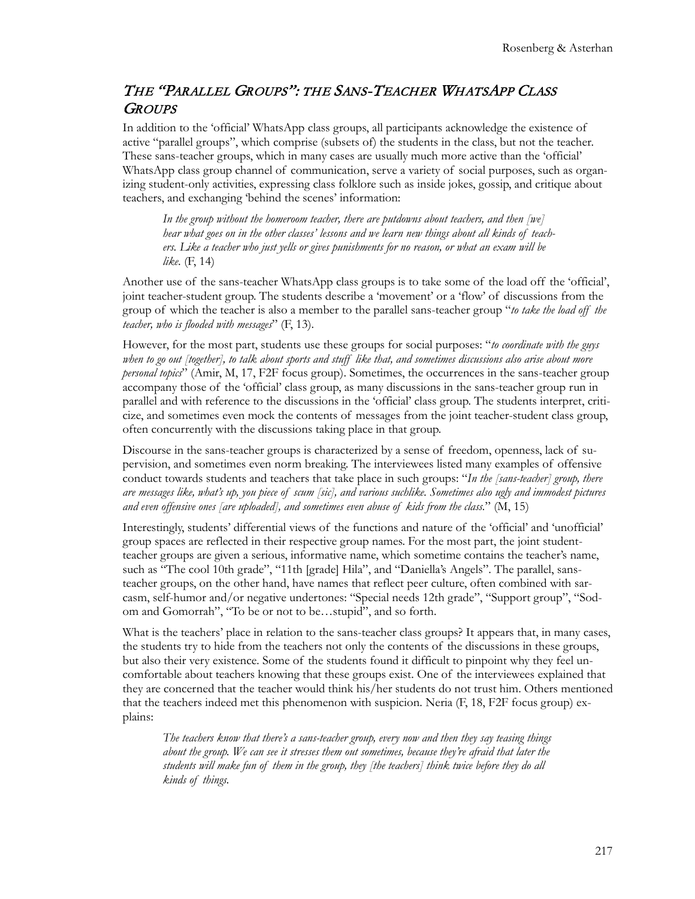#### THE "PARALLEL GROUPS": THE SANS-TEACHER WHATSAPP CLASS **GROUPS**

In addition to the 'official' WhatsApp class groups, all participants acknowledge the existence of active "parallel groups", which comprise (subsets of) the students in the class, but not the teacher. These sans-teacher groups, which in many cases are usually much more active than the 'official' WhatsApp class group channel of communication, serve a variety of social purposes, such as organizing student-only activities, expressing class folklore such as inside jokes, gossip, and critique about teachers, and exchanging 'behind the scenes' information:

*In the group without the homeroom teacher, there are putdowns about teachers, and then [we] hear what goes on in the other classes' lessons and we learn new things about all kinds of teachers. Like a teacher who just yells or gives punishments for no reason, or what an exam will be like.* (F, 14)

Another use of the sans-teacher WhatsApp class groups is to take some of the load off the 'official', joint teacher-student group. The students describe a 'movement' or a 'flow' of discussions from the group of which the teacher is also a member to the parallel sans-teacher group "*to take the load off the teacher, who is flooded with messages*" (F, 13).

However, for the most part, students use these groups for social purposes: "*to coordinate with the guys when to go out [together], to talk about sports and stuff like that, and sometimes discussions also arise about more personal topics*" (Amir, M, 17, F2F focus group). Sometimes, the occurrences in the sans-teacher group accompany those of the 'official' class group, as many discussions in the sans-teacher group run in parallel and with reference to the discussions in the 'official' class group. The students interpret, criticize, and sometimes even mock the contents of messages from the joint teacher-student class group, often concurrently with the discussions taking place in that group.

Discourse in the sans-teacher groups is characterized by a sense of freedom, openness, lack of supervision, and sometimes even norm breaking. The interviewees listed many examples of offensive conduct towards students and teachers that take place in such groups: "*In the [sans-teacher] group, there are messages like, what's up, you piece of scum [sic], and various suchlike. Sometimes also ugly and immodest pictures and even offensive ones [are uploaded], and sometimes even abuse of kids from the class.*" (M, 15)

Interestingly, students' differential views of the functions and nature of the 'official' and 'unofficial' group spaces are reflected in their respective group names. For the most part, the joint studentteacher groups are given a serious, informative name, which sometime contains the teacher's name, such as "The cool 10th grade", "11th [grade] Hila", and "Daniella's Angels". The parallel, sansteacher groups, on the other hand, have names that reflect peer culture, often combined with sarcasm, self-humor and/or negative undertones: "Special needs 12th grade", "Support group", "Sodom and Gomorrah", "To be or not to be…stupid", and so forth.

What is the teachers' place in relation to the sans-teacher class groups? It appears that, in many cases, the students try to hide from the teachers not only the contents of the discussions in these groups, but also their very existence*.* Some of the students found it difficult to pinpoint why they feel uncomfortable about teachers knowing that these groups exist. One of the interviewees explained that they are concerned that the teacher would think his/her students do not trust him. Others mentioned that the teachers indeed met this phenomenon with suspicion. Neria (F, 18, F2F focus group) explains:

*The teachers know that there's a sans-teacher group, every now and then they say teasing things about the group. We can see it stresses them out sometimes, because they're afraid that later the students will make fun of them in the group, they [the teachers] think twice before they do all kinds of things.*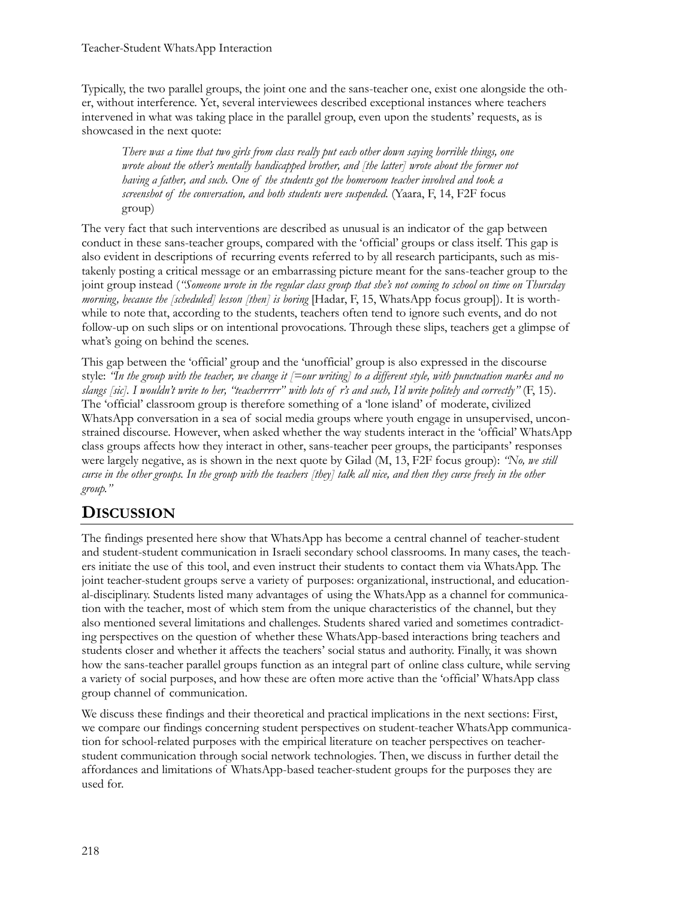Typically, the two parallel groups, the joint one and the sans-teacher one, exist one alongside the other, without interference. Yet, several interviewees described exceptional instances where teachers intervened in what was taking place in the parallel group, even upon the students' requests, as is showcased in the next quote:

*There was a time that two girls from class really put each other down saying horrible things, one wrote about the other's mentally handicapped brother, and [the latter] wrote about the former not having a father, and such. One of the students got the homeroom teacher involved and took a screenshot of the conversation, and both students were suspended.* (Yaara, F, 14, F2F focus group)

The very fact that such interventions are described as unusual is an indicator of the gap between conduct in these sans-teacher groups, compared with the 'official' groups or class itself. This gap is also evident in descriptions of recurring events referred to by all research participants, such as mistakenly posting a critical message or an embarrassing picture meant for the sans-teacher group to the joint group instead (*"Someone wrote in the regular class group that she's not coming to school on time on Thursday morning, because the [scheduled] lesson [then] is boring* [Hadar, F, 15, WhatsApp focus group]). It is worthwhile to note that, according to the students, teachers often tend to ignore such events, and do not follow-up on such slips or on intentional provocations. Through these slips, teachers get a glimpse of what's going on behind the scenes.

This gap between the 'official' group and the 'unofficial' group is also expressed in the discourse style: *"In the group with the teacher, we change it [=our writing] to a different style, with punctuation marks and no slangs [sic]. I wouldn't write to her, "teacherrrrr" with lots of r's and such, I'd write politely and correctly"* (F, 15). The 'official' classroom group is therefore something of a 'lone island' of moderate, civilized WhatsApp conversation in a sea of social media groups where youth engage in unsupervised, unconstrained discourse. However, when asked whether the way students interact in the 'official' WhatsApp class groups affects how they interact in other, sans-teacher peer groups, the participants' responses were largely negative, as is shown in the next quote by Gilad (M, 13, F2F focus group): *"No, we still curse in the other groups. In the group with the teachers [they] talk all nice, and then they curse freely in the other group."*

# **DISCUSSION**

The findings presented here show that WhatsApp has become a central channel of teacher-student and student-student communication in Israeli secondary school classrooms. In many cases, the teachers initiate the use of this tool, and even instruct their students to contact them via WhatsApp. The joint teacher-student groups serve a variety of purposes: organizational, instructional, and educational-disciplinary. Students listed many advantages of using the WhatsApp as a channel for communication with the teacher, most of which stem from the unique characteristics of the channel, but they also mentioned several limitations and challenges. Students shared varied and sometimes contradicting perspectives on the question of whether these WhatsApp-based interactions bring teachers and students closer and whether it affects the teachers' social status and authority. Finally, it was shown how the sans-teacher parallel groups function as an integral part of online class culture, while serving a variety of social purposes, and how these are often more active than the 'official' WhatsApp class group channel of communication.

We discuss these findings and their theoretical and practical implications in the next sections: First, we compare our findings concerning student perspectives on student-teacher WhatsApp communication for school-related purposes with the empirical literature on teacher perspectives on teacherstudent communication through social network technologies. Then, we discuss in further detail the affordances and limitations of WhatsApp-based teacher-student groups for the purposes they are used for.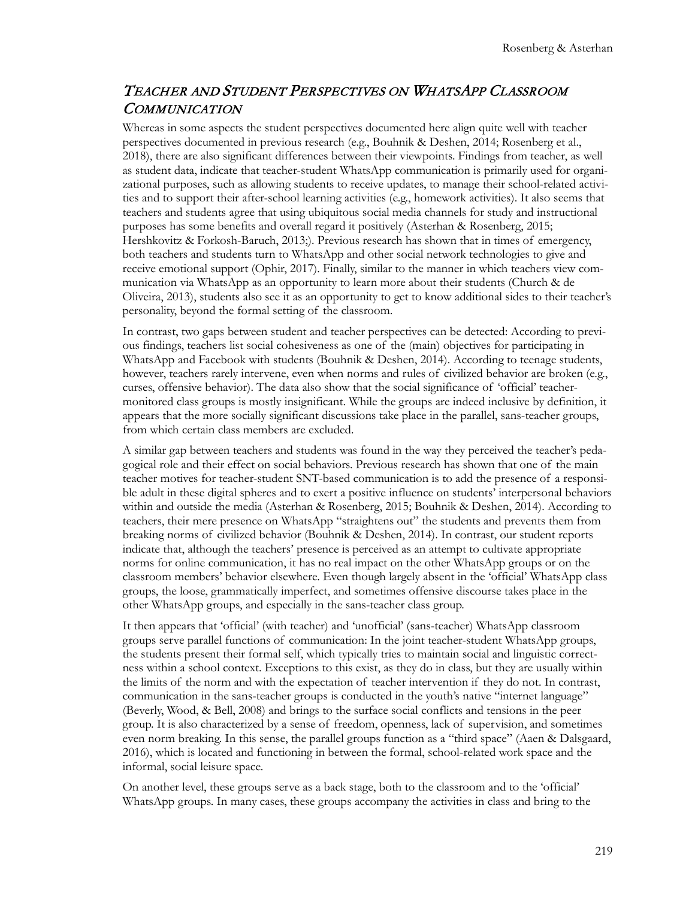## TEACHER AND STUDENT PERSPECTIVES ON WHATSAPP CLASSROOM **COMMUNICATION**

Whereas in some aspects the student perspectives documented here align quite well with teacher perspectives documented in previous research (e.g., Bouhnik & Deshen, 2014; Rosenberg et al., 2018), there are also significant differences between their viewpoints. Findings from teacher, as well as student data, indicate that teacher-student WhatsApp communication is primarily used for organizational purposes, such as allowing students to receive updates, to manage their school-related activities and to support their after-school learning activities (e.g., homework activities). It also seems that teachers and students agree that using ubiquitous social media channels for study and instructional purposes has some benefits and overall regard it positively (Asterhan & Rosenberg, 2015; Hershkovitz & Forkosh-Baruch, 2013;). Previous research has shown that in times of emergency, both teachers and students turn to WhatsApp and other social network technologies to give and receive emotional support (Ophir, 2017). Finally, similar to the manner in which teachers view communication via WhatsApp as an opportunity to learn more about their students (Church & de Oliveira, 2013), students also see it as an opportunity to get to know additional sides to their teacher's personality, beyond the formal setting of the classroom.

In contrast, two gaps between student and teacher perspectives can be detected: According to previous findings, teachers list social cohesiveness as one of the (main) objectives for participating in WhatsApp and Facebook with students (Bouhnik & Deshen, 2014). According to teenage students, however, teachers rarely intervene, even when norms and rules of civilized behavior are broken (e.g., curses, offensive behavior). The data also show that the social significance of 'official' teachermonitored class groups is mostly insignificant. While the groups are indeed inclusive by definition, it appears that the more socially significant discussions take place in the parallel, sans-teacher groups, from which certain class members are excluded.

A similar gap between teachers and students was found in the way they perceived the teacher's pedagogical role and their effect on social behaviors. Previous research has shown that one of the main teacher motives for teacher-student SNT-based communication is to add the presence of a responsible adult in these digital spheres and to exert a positive influence on students' interpersonal behaviors within and outside the media (Asterhan & Rosenberg, 2015; Bouhnik & Deshen, 2014). According to teachers, their mere presence on WhatsApp "straightens out" the students and prevents them from breaking norms of civilized behavior (Bouhnik & Deshen, 2014). In contrast, our student reports indicate that, although the teachers' presence is perceived as an attempt to cultivate appropriate norms for online communication, it has no real impact on the other WhatsApp groups or on the classroom members' behavior elsewhere. Even though largely absent in the 'official' WhatsApp class groups, the loose, grammatically imperfect, and sometimes offensive discourse takes place in the other WhatsApp groups, and especially in the sans-teacher class group.

It then appears that 'official' (with teacher) and 'unofficial' (sans-teacher) WhatsApp classroom groups serve parallel functions of communication: In the joint teacher-student WhatsApp groups, the students present their formal self, which typically tries to maintain social and linguistic correctness within a school context. Exceptions to this exist, as they do in class, but they are usually within the limits of the norm and with the expectation of teacher intervention if they do not. In contrast, communication in the sans-teacher groups is conducted in the youth's native "internet language" (Beverly, Wood, & Bell, 2008) and brings to the surface social conflicts and tensions in the peer group. It is also characterized by a sense of freedom, openness, lack of supervision, and sometimes even norm breaking. In this sense, the parallel groups function as a "third space" (Aaen & Dalsgaard, 2016), which is located and functioning in between the formal, school-related work space and the informal, social leisure space.

On another level, these groups serve as a back stage, both to the classroom and to the 'official' WhatsApp groups. In many cases, these groups accompany the activities in class and bring to the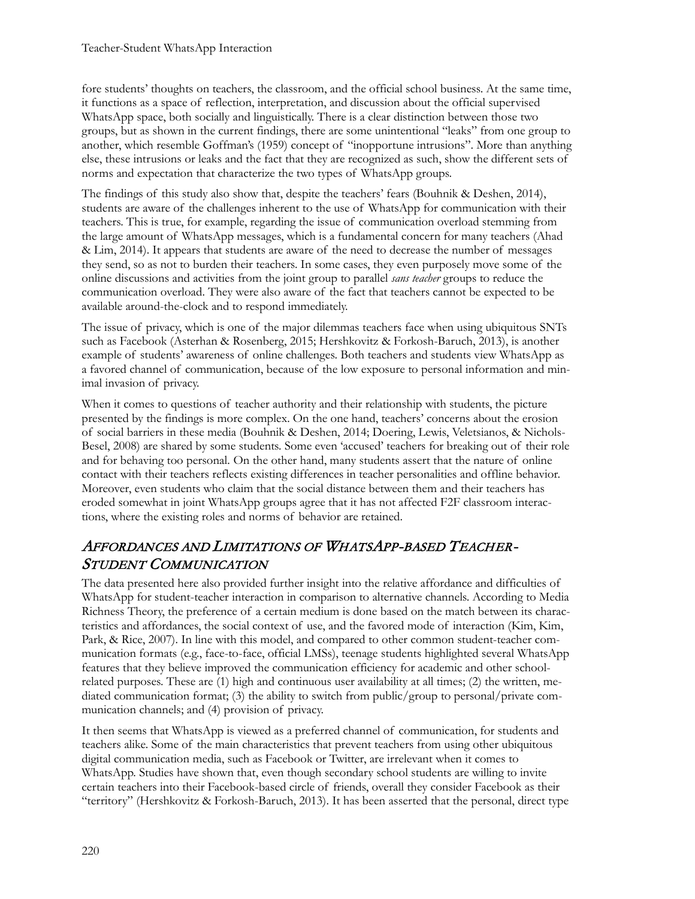fore students' thoughts on teachers, the classroom, and the official school business. At the same time, it functions as a space of reflection, interpretation, and discussion about the official supervised WhatsApp space, both socially and linguistically. There is a clear distinction between those two groups, but as shown in the current findings, there are some unintentional "leaks" from one group to another, which resemble Goffman's (1959) concept of "inopportune intrusions". More than anything else, these intrusions or leaks and the fact that they are recognized as such, show the different sets of norms and expectation that characterize the two types of WhatsApp groups.

The findings of this study also show that, despite the teachers' fears (Bouhnik & Deshen, 2014), students are aware of the challenges inherent to the use of WhatsApp for communication with their teachers. This is true, for example, regarding the issue of communication overload stemming from the large amount of WhatsApp messages, which is a fundamental concern for many teachers (Ahad & Lim, 2014). It appears that students are aware of the need to decrease the number of messages they send, so as not to burden their teachers. In some cases, they even purposely move some of the online discussions and activities from the joint group to parallel *sans teacher* groups to reduce the communication overload. They were also aware of the fact that teachers cannot be expected to be available around-the-clock and to respond immediately.

The issue of privacy, which is one of the major dilemmas teachers face when using ubiquitous SNTs such as Facebook (Asterhan & Rosenberg, 2015; Hershkovitz & Forkosh-Baruch, 2013), is another example of students' awareness of online challenges. Both teachers and students view WhatsApp as a favored channel of communication, because of the low exposure to personal information and minimal invasion of privacy.

When it comes to questions of teacher authority and their relationship with students, the picture presented by the findings is more complex. On the one hand, teachers' concerns about the erosion of social barriers in these media (Bouhnik & Deshen, 2014; Doering, Lewis, Veletsianos, & Nichols-Besel, 2008) are shared by some students. Some even 'accused' teachers for breaking out of their role and for behaving too personal. On the other hand, many students assert that the nature of online contact with their teachers reflects existing differences in teacher personalities and offline behavior. Moreover, even students who claim that the social distance between them and their teachers has eroded somewhat in joint WhatsApp groups agree that it has not affected F2F classroom interactions, where the existing roles and norms of behavior are retained.

## AFFORDANCES AND LIMITATIONS OF WHATSAPP-BASED TEACHER-STUDENT COMMUNICATION

The data presented here also provided further insight into the relative affordance and difficulties of WhatsApp for student-teacher interaction in comparison to alternative channels. According to Media Richness Theory, the preference of a certain medium is done based on the match between its characteristics and affordances, the social context of use, and the favored mode of interaction (Kim, Kim, Park, & Rice, 2007). In line with this model, and compared to other common student-teacher communication formats (e.g., face-to-face, official LMSs), teenage students highlighted several WhatsApp features that they believe improved the communication efficiency for academic and other schoolrelated purposes. These are (1) high and continuous user availability at all times; (2) the written, mediated communication format; (3) the ability to switch from public/group to personal/private communication channels; and (4) provision of privacy.

It then seems that WhatsApp is viewed as a preferred channel of communication, for students and teachers alike. Some of the main characteristics that prevent teachers from using other ubiquitous digital communication media, such as Facebook or Twitter, are irrelevant when it comes to WhatsApp. Studies have shown that, even though secondary school students are willing to invite certain teachers into their Facebook-based circle of friends, overall they consider Facebook as their "territory" (Hershkovitz & Forkosh-Baruch, 2013). It has been asserted that the personal, direct type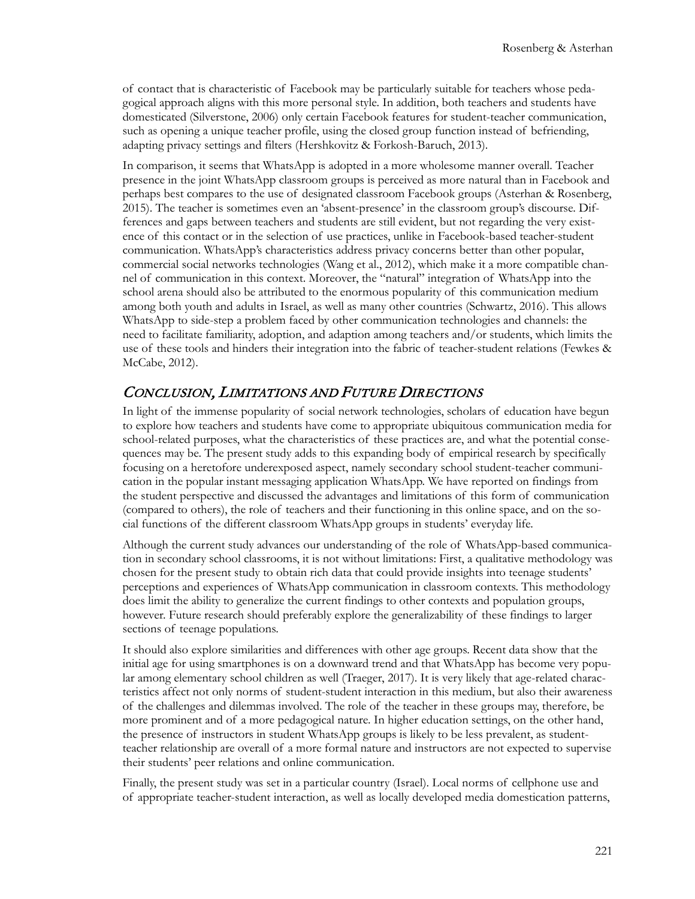of contact that is characteristic of Facebook may be particularly suitable for teachers whose pedagogical approach aligns with this more personal style. In addition, both teachers and students have domesticated (Silverstone, 2006) only certain Facebook features for student-teacher communication, such as opening a unique teacher profile, using the closed group function instead of befriending, adapting privacy settings and filters (Hershkovitz & Forkosh-Baruch, 2013).

In comparison, it seems that WhatsApp is adopted in a more wholesome manner overall. Teacher presence in the joint WhatsApp classroom groups is perceived as more natural than in Facebook and perhaps best compares to the use of designated classroom Facebook groups (Asterhan & Rosenberg, 2015). The teacher is sometimes even an 'absent-presence' in the classroom group's discourse. Differences and gaps between teachers and students are still evident, but not regarding the very existence of this contact or in the selection of use practices, unlike in Facebook-based teacher-student communication. WhatsApp's characteristics address privacy concerns better than other popular, commercial social networks technologies (Wang et al., 2012), which make it a more compatible channel of communication in this context. Moreover, the "natural" integration of WhatsApp into the school arena should also be attributed to the enormous popularity of this communication medium among both youth and adults in Israel, as well as many other countries (Schwartz, 2016). This allows WhatsApp to side-step a problem faced by other communication technologies and channels: the need to facilitate familiarity, adoption, and adaption among teachers and/or students, which limits the use of these tools and hinders their integration into the fabric of teacher-student relations (Fewkes & McCabe, 2012).

#### CONCLUSION, LIMITATIONS AND FUTURE DIRECTIONS

In light of the immense popularity of social network technologies, scholars of education have begun to explore how teachers and students have come to appropriate ubiquitous communication media for school-related purposes, what the characteristics of these practices are, and what the potential consequences may be. The present study adds to this expanding body of empirical research by specifically focusing on a heretofore underexposed aspect, namely secondary school student-teacher communication in the popular instant messaging application WhatsApp. We have reported on findings from the student perspective and discussed the advantages and limitations of this form of communication (compared to others), the role of teachers and their functioning in this online space, and on the social functions of the different classroom WhatsApp groups in students' everyday life.

Although the current study advances our understanding of the role of WhatsApp-based communication in secondary school classrooms, it is not without limitations: First, a qualitative methodology was chosen for the present study to obtain rich data that could provide insights into teenage students' perceptions and experiences of WhatsApp communication in classroom contexts. This methodology does limit the ability to generalize the current findings to other contexts and population groups, however. Future research should preferably explore the generalizability of these findings to larger sections of teenage populations.

It should also explore similarities and differences with other age groups. Recent data show that the initial age for using smartphones is on a downward trend and that WhatsApp has become very popular among elementary school children as well (Traeger, 2017). It is very likely that age-related characteristics affect not only norms of student-student interaction in this medium, but also their awareness of the challenges and dilemmas involved. The role of the teacher in these groups may, therefore, be more prominent and of a more pedagogical nature. In higher education settings, on the other hand, the presence of instructors in student WhatsApp groups is likely to be less prevalent, as studentteacher relationship are overall of a more formal nature and instructors are not expected to supervise their students' peer relations and online communication.

Finally, the present study was set in a particular country (Israel). Local norms of cellphone use and of appropriate teacher-student interaction, as well as locally developed media domestication patterns,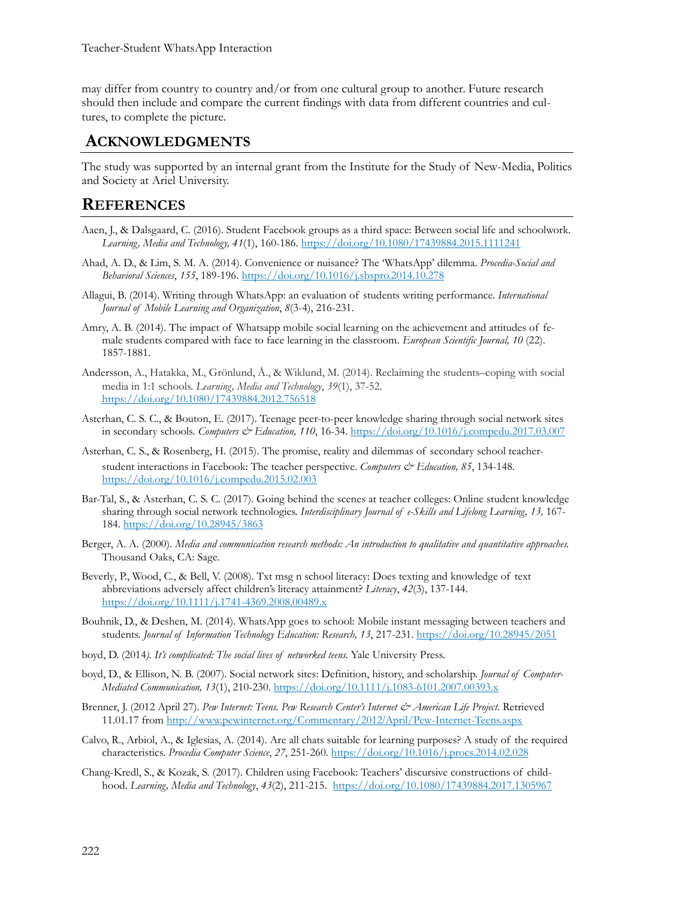may differ from country to country and/or from one cultural group to another. Future research should then include and compare the current findings with data from different countries and cultures, to complete the picture.

#### **ACKNOWLEDGMENTS**

The study was supported by an internal grant from the Institute for the Study of New-Media, Politics and Society at Ariel University.

#### **REFERENCES**

- Aaen, J., & Dalsgaard, C. (2016). Student Facebook groups as a third space: Between social life and schoolwork. *Learning, Media and Technology, 41*(1), 160-186. <https://doi.org/10.1080/17439884.2015.1111241>
- Ahad, A. D., & Lim, S. M. A. (2014). Convenience or nuisance? The 'WhatsApp' dilemma. *Procedia-Social and Behavioral Sciences*, *155*, 189-196. <https://doi.org/10.1016/j.sbspro.2014.10.278>
- Allagui, B. (2014). Writing through WhatsApp: an evaluation of students writing performance. *International Journal of Mobile Learning and Organization*, *8*(3-4), 216-231.
- Amry, A. B. (2014). The impact of Whatsapp mobile social learning on the achievement and attitudes of female students compared with face to face learning in the classroom. *European Scientific Journal, 10* (22). 1857-1881.
- Andersson, A., Hatakka, M., Grönlund, Å., & Wiklund, M. (2014). Reclaiming the students–coping with social media in 1:1 schools. *Learning, Media and Technology*, *39*(1), 37-52. <https://doi.org/10.1080/17439884.2012.756518>
- Asterhan, C. S. C., & Bouton, E. (2017). Teenage peer-to-peer knowledge sharing through social network sites in secondary schools. *Computers & Education, 110*, 16-34. <https://doi.org/10.1016/j.compedu.2017.03.007>
- Asterhan, C. S., & Rosenberg, H. (2015). The promise, reality and dilemmas of secondary school teacherstudent interactions in Facebook: The teacher perspective. *Computers & Education, 85*, 134-148. <https://doi.org/10.1016/j.compedu.2015.02.003>
- Bar-Tal, S., & Asterhan, C. S. C. (2017). Going behind the scenes at teacher colleges: Online student knowledge sharing through social network technologies. *Interdisciplinary Journal of e-Skills and Lifelong Learning, 13,* 167- 184. <https://doi.org/10.28945/3863>
- Berger, A. A. (2000). *Media and communication research methods: An introduction to qualitative and quantitative approaches.* Thousand Oaks, CA: Sage.
- Beverly, P., Wood, C., & Bell, V. (2008). Txt msg n school literacy: Does texting and knowledge of text abbreviations adversely affect children's literacy attainment? *Literacy*, *42*(3), 137-144. [https://doi.org/10.1111/j.1741](https://doi.org/10.1111/j.1741-4369.2008.00489.x)-4369.2008.00489.x
- Bouhnik, D., & Deshen, M. (2014). WhatsApp goes to school: Mobile instant messaging between teachers and students. *Journal of Information Technology Education: Research, 13*, 217-231.<https://doi.org/10.28945/2051>
- boyd, D. (2014*). It's complicated: The social lives of networked teens.* Yale University Press.
- boyd, D., & Ellison, N. B. (2007). Social network sites: Definition, history, and scholarship. *Journal of Computer-Mediated Communication, 13*(1), 210-230. [https://doi.org/10.1111/j.1083](https://doi.org/10.1111/j.1083-6101.2007.00393.x)-6101.2007.00393.x
- Brenner, J. (2012 April 27). *Pew Internet: Teens. Pew Research Center's Internet & American Life Project.* Retrieved 11.01.17 from [http://www.pewinternet.org/Commentary/2012](http://www.pewinternet.org/Commentary/2012/April/Pew-Internet-Teens.aspx)/April/Pew-Internet-Teens.aspx
- Calvo, R., Arbiol, A., & Iglesias, A. (2014). Are all chats suitable for learning purposes? A study of the required characteristics. *Procedia Computer Science*, *27*, 251-260. <https://doi.org/10.1016/j.procs.2014.02.028>
- Chang-Kredl, S., & Kozak, S. (2017). Children using Facebook: Teachers' discursive constructions of childhood. *Learning, Media and Technology*, *43*(2), 211-215. <https://doi.org/10.1080/17439884.2017.1305967>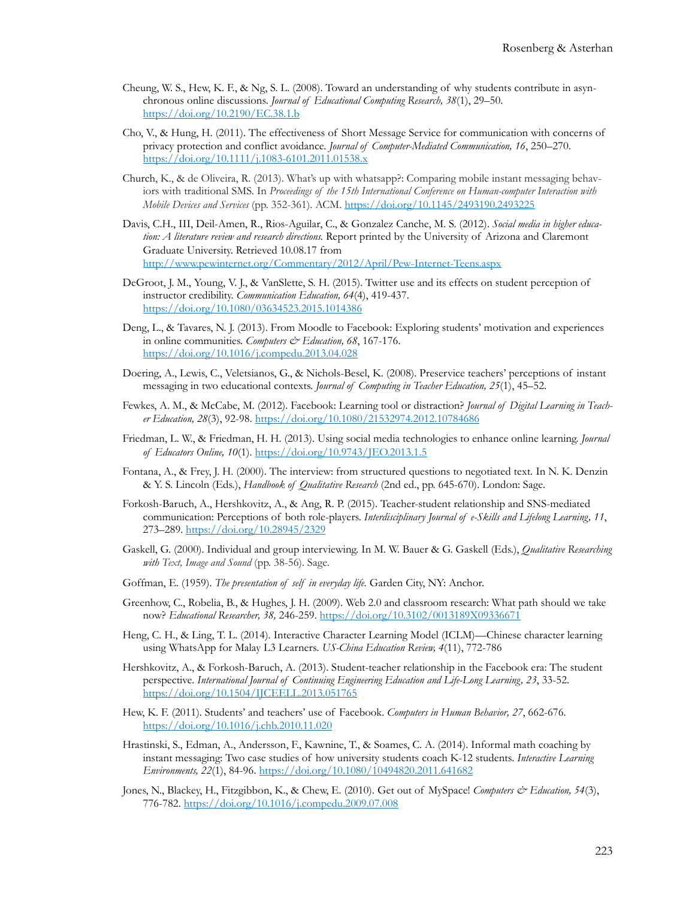- Cheung, W. S., Hew, K. F., & Ng, S. L. (2008). Toward an understanding of why students contribute in asynchronous online discussions. *Journal of Educational Computing Research, 38*(1), 29–50. [https://doi.org/10.2190/EC.38.1](https://doi.org/10.2190/EC.38.1.b).b
- Cho, V., & Hung, H. (2011). The effectiveness of Short Message Service for communication with concerns of privacy protection and conflict avoidance. *Journal of Computer-Mediated Communication, 16*, 250–270. [https://doi.org/10.1111/j.1083](https://doi.org/10.1111/j.1083-6101.2011.01538.x)-6101.2011.01538.x
- Church, K., & de Oliveira, R. (2013). What's up with whatsapp?: Comparing mobile instant messaging behaviors with traditional SMS. In *Proceedings of the 15th International Conference on Human-computer Interaction with Mobile Devices and Services* (pp. 352-361). ACM. <https://doi.org/10.1145/2493190.2493225>
- Davis, C.H., III, Deil-Amen, R., Rios-Aguilar, C., & Gonzalez Canche, M. S. (2012). *Social media in higher education: A literature review and research directions.* Report printed by the University of Arizona and Claremont Graduate University. Retrieved 10.08.17 from [http://www.pewinternet.org/Commentary/2012/April/Pew](http://www.pewinternet.org/Commentary/2012/April/Pew-Internet-Teens.aspx)-Internet-Teens.aspx
- DeGroot, J. M., Young, V. J., & VanSlette, S. H. (2015). Twitter use and its effects on student perception of instructor credibility. *Communication Education, 64*(4), 419-437. <https://doi.org/10.1080/03634523.2015.1014386>
- Deng, L., & Tavares, N. J. (2013). From Moodle to Facebook: Exploring students' motivation and experiences in online communities. *Computers & Education*, 68, 167-176. <https://doi.org/10.1016/j.compedu.2013.04.028>
- Doering, A., Lewis, C., Veletsianos, G., & Nichols-Besel, K. (2008). Preservice teachers' perceptions of instant messaging in two educational contexts. *Journal of Computing in Teacher Education, 25*(1), 45–52.
- Fewkes, A. M., & McCabe, M. (2012). Facebook: Learning tool or distraction? *Journal of Digital Learning in Teacher Education, 28*(3), 92-98. <https://doi.org/10.1080/21532974.2012.10784686>
- Friedman, L. W., & Friedman, H. H. (2013). Using social media technologies to enhance online learning. *Journal of Educators Online, 10*(1). <https://doi.org/10.9743/JEO.2013.1.5>
- Fontana, A., & Frey, J. H. (2000). The interview: from structured questions to negotiated text. In N. K. Denzin & Y. S. Lincoln (Eds.), *Handbook of Qualitative Research* (2nd ed., pp. 645-670). London: Sage.
- Forkosh-Baruch, A., Hershkovitz, A., & Ang, R. P. (2015). Teacher-student relationship and SNS-mediated communication: Perceptions of both role-players. *Interdisciplinary Journal of e-Skills and Lifelong Learning, 11*, 273–289. <https://doi.org/10.28945/2329>
- Gaskell, G. (2000). Individual and group interviewing. In M. W. Bauer & G. Gaskell (Eds.), *Qualitative Researching with Text, Image and Sound* (pp. 38-56). Sage.
- Goffman, E. (1959). *The presentation of self in everyday life.* Garden City, NY: Anchor.
- Greenhow, C., Robelia, B., & Hughes, J. H. (2009). Web 2.0 and classroom research: What path should we take now? *Educational Researcher, 38,* 246-259. <https://doi.org/10.3102/0013189X09336671>
- Heng, C. H., & Ling, T. L. (2014). Interactive Character Learning Model (ICLM)—Chinese character learning using WhatsApp for Malay L3 Learners*. US-China Education Review, 4*(11), 772-786
- Hershkovitz, A., & Forkosh-Baruch, A. (2013). Student-teacher relationship in the Facebook era: The student perspective. *International Journal of Continuing Engineering Education and Life-Long Learning, 23*, 33-52. <https://doi.org/10.1504/IJCEELL.2013.051765>
- Hew, K. F. (2011). Students' and teachers' use of Facebook. *Computers in Human Behavior, 27*, 662-676. <https://doi.org/10.1016/j.chb.2010.11.020>
- Hrastinski, S., Edman, A., Andersson, F., Kawnine, T., & Soames, C. A. (2014). Informal math coaching by instant messaging: Two case studies of how university students coach K-12 students. *Interactive Learning Environments, 22*(1), 84-96. <https://doi.org/10.1080/10494820.2011.641682>
- Jones, N., Blackey, H., Fitzgibbon, K., & Chew, E. (2010). Get out of MySpace! *Computers & Education, 54*(3), 776-782. <https://doi.org/10.1016/j.compedu.2009.07.008>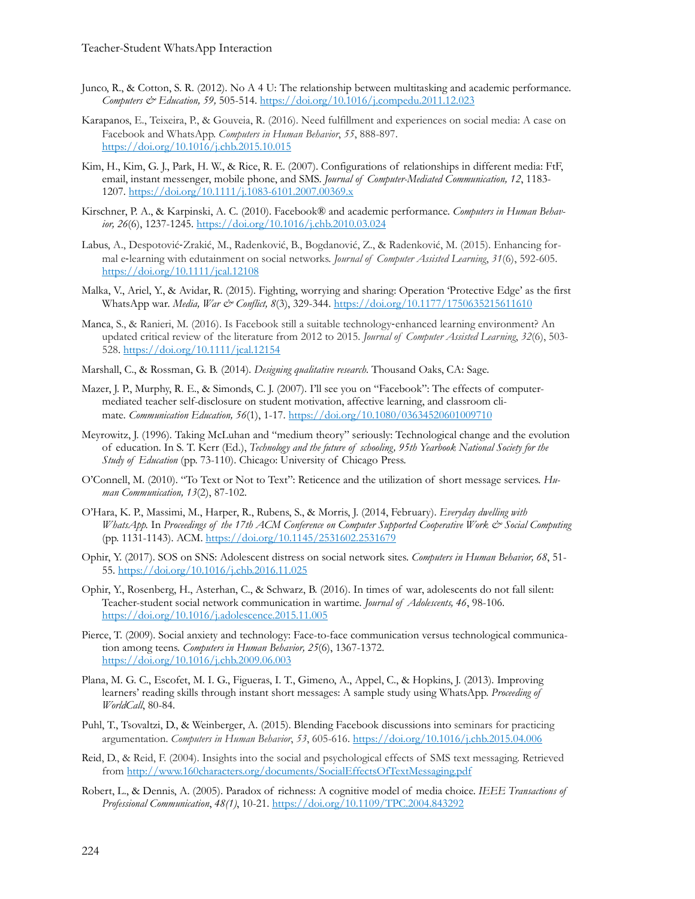- Junco, R., & Cotton, S. R. (2012). No A 4 U: The relationship between multitasking and academic performance. *Computers & Education, 59,* 505-514. <https://doi.org/10.1016/j.compedu.2011.12.023>
- Karapanos, E., Teixeira, P., & Gouveia, R. (2016). Need fulfillment and experiences on social media: A case on Facebook and WhatsApp. *Computers in Human Behavior*, *55*, 888-897. <https://doi.org/10.1016/j.chb.2015.10.015>
- Kim, H., Kim, G. J., Park, H. W., & Rice, R. E. (2007). Configurations of relationships in different media: FtF, email, instant messenger, mobile phone, and SMS. *Journal of Computer-Mediated Communication, 12*, 1183- 1207. [https://doi.org/10.1111/j.1083](https://doi.org/10.1111/j.1083-6101.2007.00369.x)-6101.2007.00369.x
- Kirschner, P. A., & Karpinski, A. C. (2010). Facebook® and academic performance. *Computers in Human Behavior, 26*(6), 1237-1245. <https://doi.org/10.1016/j.chb.2010.03.024>
- Labus, A., Despotović-Zrakić, M., Radenković, B., Bogdanović, Z., & Radenković, M. (2015). Enhancing formal e-learning with edutainment on social networks. *Journal of Computer Assisted Learning*, *31*(6), 592-605. <https://doi.org/10.1111/jcal.12108>
- Malka, V., Ariel, Y., & Avidar, R. (2015). Fighting, worrying and sharing: Operation 'Protective Edge' as the first WhatsApp war. *Media, War & Conflict, 8*(3), 329-344. <https://doi.org/10.1177/1750635215611610>
- Manca, S., & Ranieri, M. (2016). Is Facebook still a suitable technology-enhanced learning environment? An updated critical review of the literature from 2012 to 2015. *Journal of Computer Assisted Learning*, *32*(6), 503- 528. <https://doi.org/10.1111/jcal.12154>
- Marshall, C., & Rossman, G. B. (2014). *Designing qualitative research.* Thousand Oaks, CA: Sage.
- Mazer, J. P., Murphy, R. E., & Simonds, C. J. (2007). I'll see you on "Facebook": The effects of computermediated teacher self-disclosure on student motivation, affective learning, and classroom climate*. Communication Education, 56*(1), 1-17. <https://doi.org/10.1080/03634520601009710>
- Meyrowitz, J. (1996). Taking McLuhan and "medium theory" seriously: Technological change and the evolution of education. In S. T. Kerr (Ed.), *Technology and the future of schooling, 95th Yearbook National Society for the Study of Education* (pp. 73-110). Chicago: University of Chicago Press.
- O'Connell, M. (2010). "To Text or Not to Text": Reticence and the utilization of short message services. *Human Communication, 13*(2), 87-102.
- O'Hara, K. P., Massimi, M., Harper, R., Rubens, S., & Morris, J. (2014, February). *Everyday dwelling with WhatsApp.* In *Proceedings of the 17th ACM Conference on Computer Supported Cooperative Work & Social Computing* (pp. 1131-1143). ACM. <https://doi.org/10.1145/2531602.2531679>
- Ophir, Y. (2017). SOS on SNS: Adolescent distress on social network sites. *Computers in Human Behavior, 68*, 51- 55.<https://doi.org/10.1016/j.chb.2016.11.025>
- Ophir, Y., Rosenberg, H., Asterhan, C., & Schwarz, B. (2016). In times of war, adolescents do not fall silent: Teacher-student social network communication in wartime*. Journal of Adolescents, 46*, 98-106. <https://doi.org/10.1016/j.adolescence.2015.11.005>
- Pierce, T. (2009). Social anxiety and technology: Face-to-face communication versus technological communication among teens. *[Computers in Human Behavior,](http://www.sciencedirect.com/science/journal/07475632) 25*(6), 1367-1372. <https://doi.org/10.1016/j.chb.2009.06.003>
- Plana, M. G. C., Escofet, M. I. G., Figueras, I. T., Gimeno, A., Appel, C., & Hopkins, J. (2013). Improving learners' reading skills through instant short messages: A sample study using WhatsApp. *Proceeding of WorldCall*, 80-84.
- Puhl, T., Tsovaltzi, D., & Weinberger, A. (2015). Blending Facebook discussions into seminars for practicing argumentation. *Computers in Human Behavior*, *53*, 605-616. <https://doi.org/10.1016/j.chb.2015.04.006>
- Reid, D., & Reid, F. (2004). Insights into the social and psychological effects of SMS text messaging. Retrieved from<http://www.160characters.org/documents/SocialEffectsOfTextMessaging.pdf>
- Robert, L., & Dennis, A. (2005). Paradox of richness: A cognitive model of media choice. *IEEE Transactions of Professional Communication*, *48(1)*, 10-21. <https://doi.org/10.1109/TPC.2004.843292>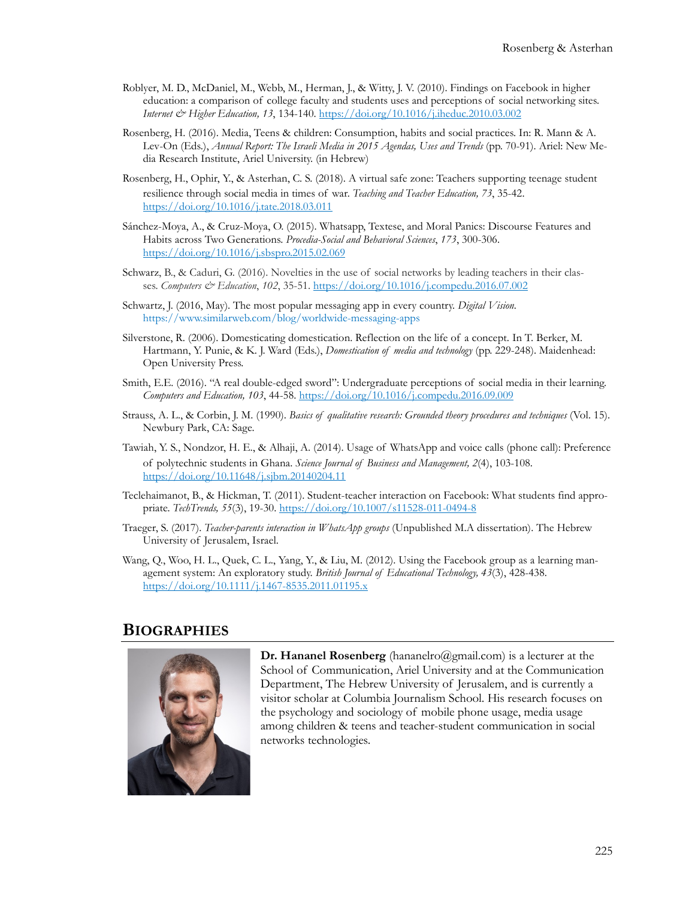- Roblyer, M. D., McDaniel, M., Webb, M., Herman, J., & Witty, J. V. (2010). Findings on Facebook in higher education: a comparison of college faculty and students uses and perceptions of social networking sites. *Internet & Higher Education, 13*, 134-140. <https://doi.org/10.1016/j.iheduc.2010.03.002>
- Rosenberg, H. (2016). Media, Teens & children: Consumption, habits and social practices. In: R. Mann & A. Lev-On (Eds.), *Annual Report: The Israeli Media in 2015 Agendas, Uses and Trends* (pp. 70-91). Ariel: New Media Research Institute, Ariel University. (in Hebrew)
- Rosenberg, H., Ophir, Y., & Asterhan, C. S. (2018). A virtual safe zone: Teachers supporting teenage student resilience through social media in times of war. *Teaching and Teacher Education, 73*, 35-42. <https://doi.org/10.1016/j.tate.2018.03.011>
- Sánchez-Moya, A., & Cruz-Moya, O. (2015). Whatsapp, Textese, and Moral Panics: Discourse Features and Habits across Two Generations. *Procedia-Social and Behavioral Sciences*, *173*, 300-306. <https://doi.org/10.1016/j.sbspro.2015.02.069>
- Schwarz, B., & Caduri, G. (2016). Novelties in the use of social networks by leading teachers in their classes. *Computers & Education*, 102, 35-51. <https://doi.org/10.1016/j.compedu.2016.07.002>
- Schwartz, J. (2016, May). The most popular messaging app in every country. *Digital Vision.*  [https://www.similarweb.com/blog/worldwide](https://www.similarweb.com/blog/worldwide-messaging-apps)-messaging-apps
- Silverstone, R. (2006). Domesticating domestication. Reflection on the life of a concept. In T. Berker, M. Hartmann, Y. Punie, & K. J. Ward (Eds.), *Domestication of media and technology* (pp. 229-248). Maidenhead: Open University Press.
- Smith, E.E. (2016). "A real double-edged sword": Undergraduate perceptions of social media in their learning. *Computers and Education, 103*, 44-58. <https://doi.org/10.1016/j.compedu.2016.09.009>
- Strauss, A. L., & Corbin, J. M. (1990). *Basics of qualitative research: Grounded theory procedures and techniques* (Vol. 15). Newbury Park, CA: Sage.
- Tawiah, Y. S., Nondzor, H. E., & Alhaji, A. (2014). Usage of WhatsApp and voice calls (phone call): Preference of polytechnic students in Ghana. *Science Journal of Business and Management, 2*(4), 103-108. <https://doi.org/10.11648/j.sjbm.20140204.11>
- Teclehaimanot, B., & Hickman, T. (2011). Student-teacher interaction on Facebook: What students find appropriate. *TechTrends, 55*(3), 19-30. [https://doi.org/10.1007/s11528](https://doi.org/10.1007/s11528-011-0494-8)-011-0494-8
- Traeger, S. (2017). *Teacher-parents interaction in WhatsApp groups* (Unpublished M.A dissertation). The Hebrew University of Jerusalem, Israel.
- Wang, Q., Woo, H. L., Quek, C. L., Yang, Y., & Liu, M. (2012). Using the Facebook group as a learning management system: An exploratory study. *British Journal of Educational Technology, 43*(3), 428-438. [https://doi.org/10.1111/j.1467](https://doi.org/10.1111/j.1467-8535.2011.01195.x)-8535.2011.01195.x

#### **BIOGRAPHIES**



**Dr. Hananel Rosenberg** [\(hananelro@gmail.com\)](mailto:hananelro@gmail.com) is a lecturer at the School of Communication, Ariel University and at the Communication Department, The Hebrew University of Jerusalem, and is currently a visitor scholar at Columbia Journalism School. His research focuses on the psychology and sociology of mobile phone usage, media usage among children & teens and teacher-student communication in social networks technologies.